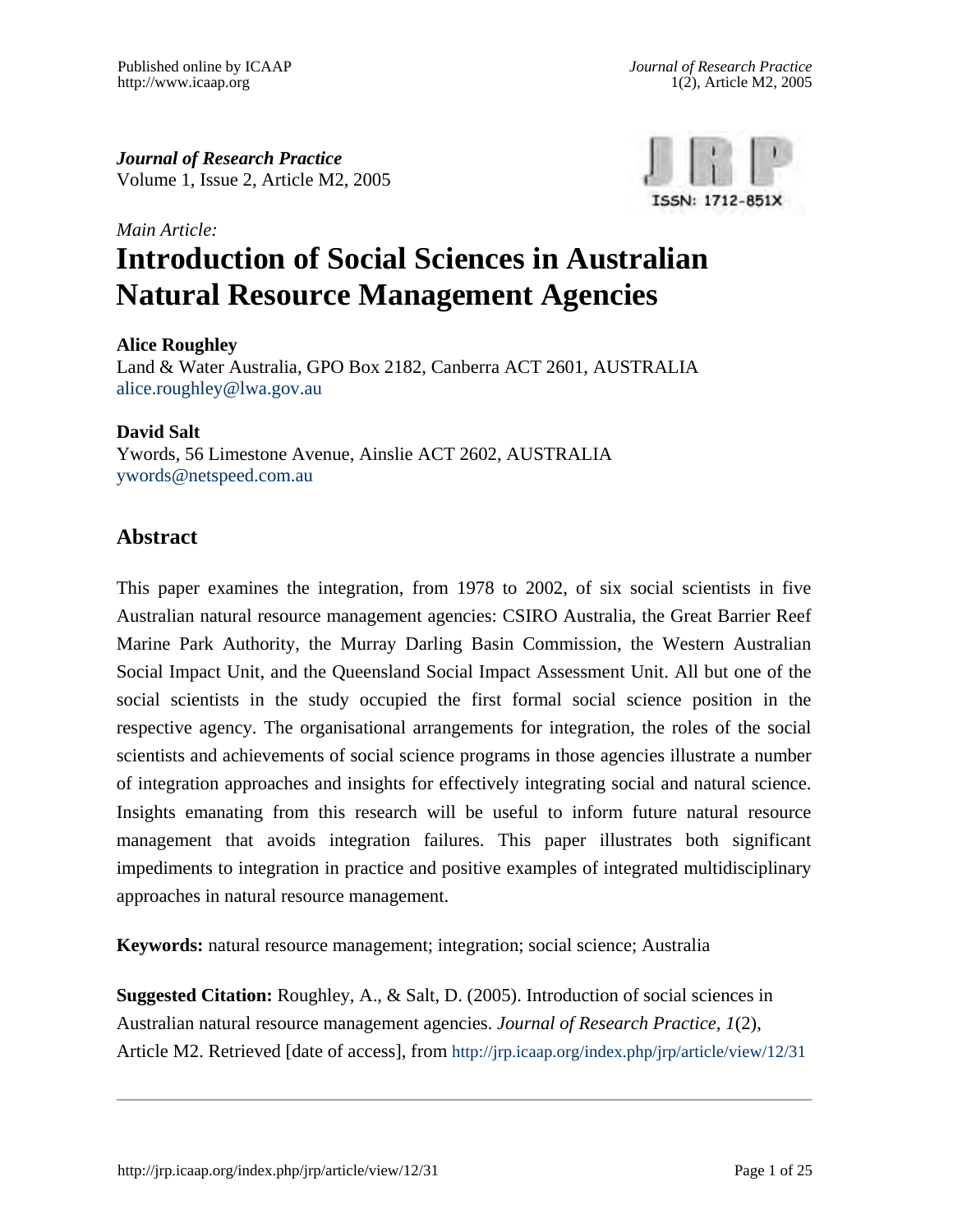*Journal of Research Practice*  Volume 1, Issue 2, Article M2, 2005



# *Main Article:* **Introduction of Social Sciences in Australian Natural Resource Management Agencies**

#### **Alice Roughley**

Land & Water Australia, GPO Box 2182, Canberra ACT 2601, AUSTRALIA [alice.roughley@lwa.gov.au](mailto:alice.roughley@lwa.gov.au) 

#### **David Salt**

Ywords, 56 Limestone Avenue, Ainslie ACT 2602, AUSTRALIA [ywords@netspeed.com.au](mailto:ywords@netspeed.com.au) 

### **Abstract**

This paper examines the integration, from 1978 to 2002, of six social scientists in five Australian natural resource management agencies: CSIRO Australia, the Great Barrier Reef Marine Park Authority, the Murray Darling Basin Commission, the Western Australian Social Impact Unit, and the Queensland Social Impact Assessment Unit. All but one of the social scientists in the study occupied the first formal social science position in the respective agency. The organisational arrangements for integration, the roles of the social scientists and achievements of social science programs in those agencies illustrate a number of integration approaches and insights for effectively integrating social and natural science. Insights emanating from this research will be useful to inform future natural resource management that avoids integration failures. This paper illustrates both significant impediments to integration in practice and positive examples of integrated multidisciplinary approaches in natural resource management.

**Keywords:** natural resource management; integration; social science; Australia

**Suggested Citation:** Roughley, A., & Salt, D. (2005). Introduction of social sciences in Australian natural resource management agencies. *Journal of Research Practice, 1*(2), Article M2. Retrieved [date of access], from <http://jrp.icaap.org/index.php/jrp/article/view/12/31>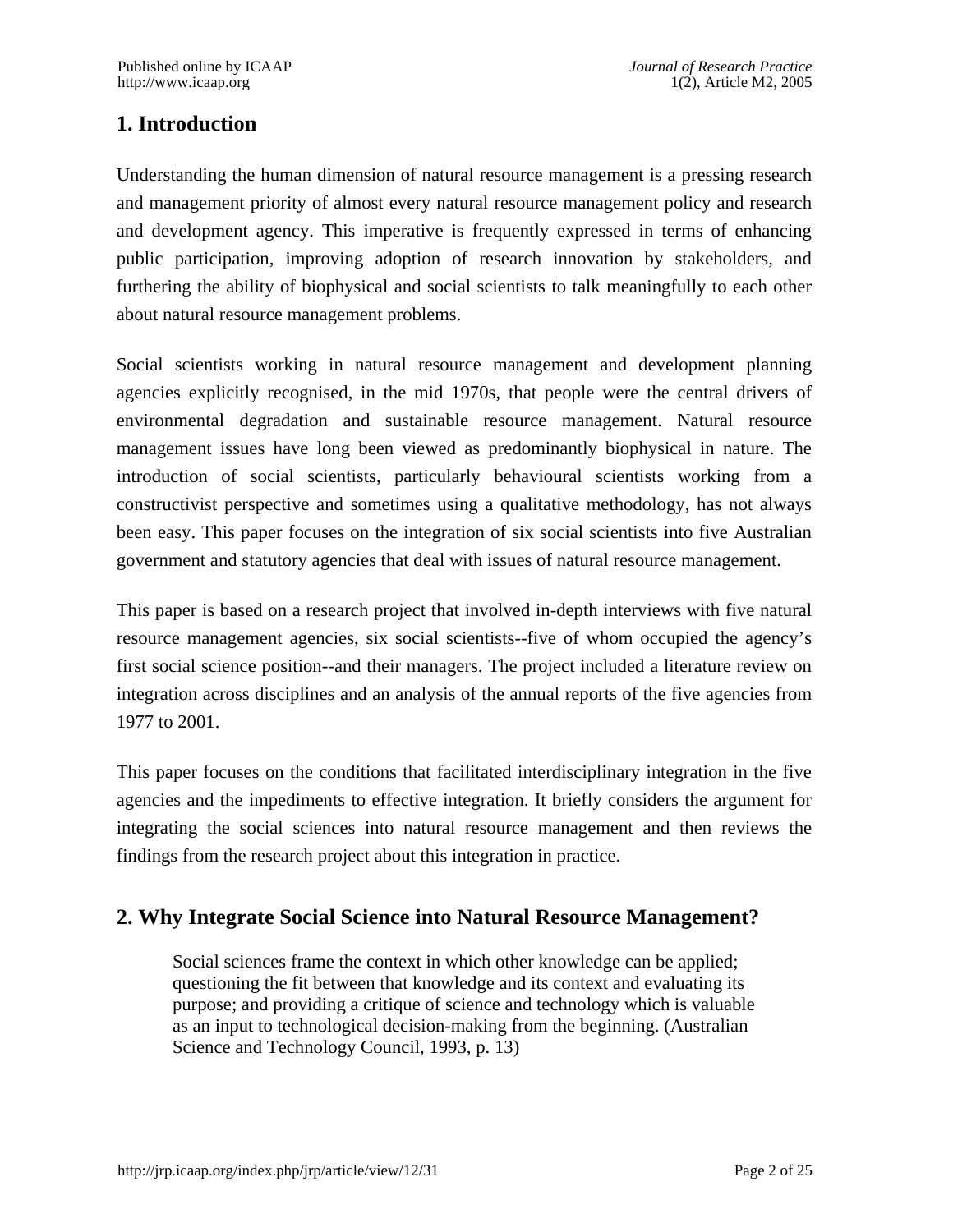# **1. Introduction**

Understanding the human dimension of natural resource management is a pressing research and management priority of almost every natural resource management policy and research and development agency. This imperative is frequently expressed in terms of enhancing public participation, improving adoption of research innovation by stakeholders, and furthering the ability of biophysical and social scientists to talk meaningfully to each other about natural resource management problems.

Social scientists working in natural resource management and development planning agencies explicitly recognised, in the mid 1970s, that people were the central drivers of environmental degradation and sustainable resource management. Natural resource management issues have long been viewed as predominantly biophysical in nature. The introduction of social scientists, particularly behavioural scientists working from a constructivist perspective and sometimes using a qualitative methodology, has not always been easy. This paper focuses on the integration of six social scientists into five Australian government and statutory agencies that deal with issues of natural resource management.

This paper is based on a research project that involved in-depth interviews with five natural resource management agencies, six social scientists--five of whom occupied the agency's first social science position--and their managers. The project included a literature review on integration across disciplines and an analysis of the annual reports of the five agencies from 1977 to 2001.

This paper focuses on the conditions that facilitated interdisciplinary integration in the five agencies and the impediments to effective integration. It briefly considers the argument for integrating the social sciences into natural resource management and then reviews the findings from the research project about this integration in practice.

# **2. Why Integrate Social Science into Natural Resource Management?**

Social sciences frame the context in which other knowledge can be applied; questioning the fit between that knowledge and its context and evaluating its purpose; and providing a critique of science and technology which is valuable as an input to technological decision-making from the beginning. (Australian Science and Technology Council, 1993, p. 13)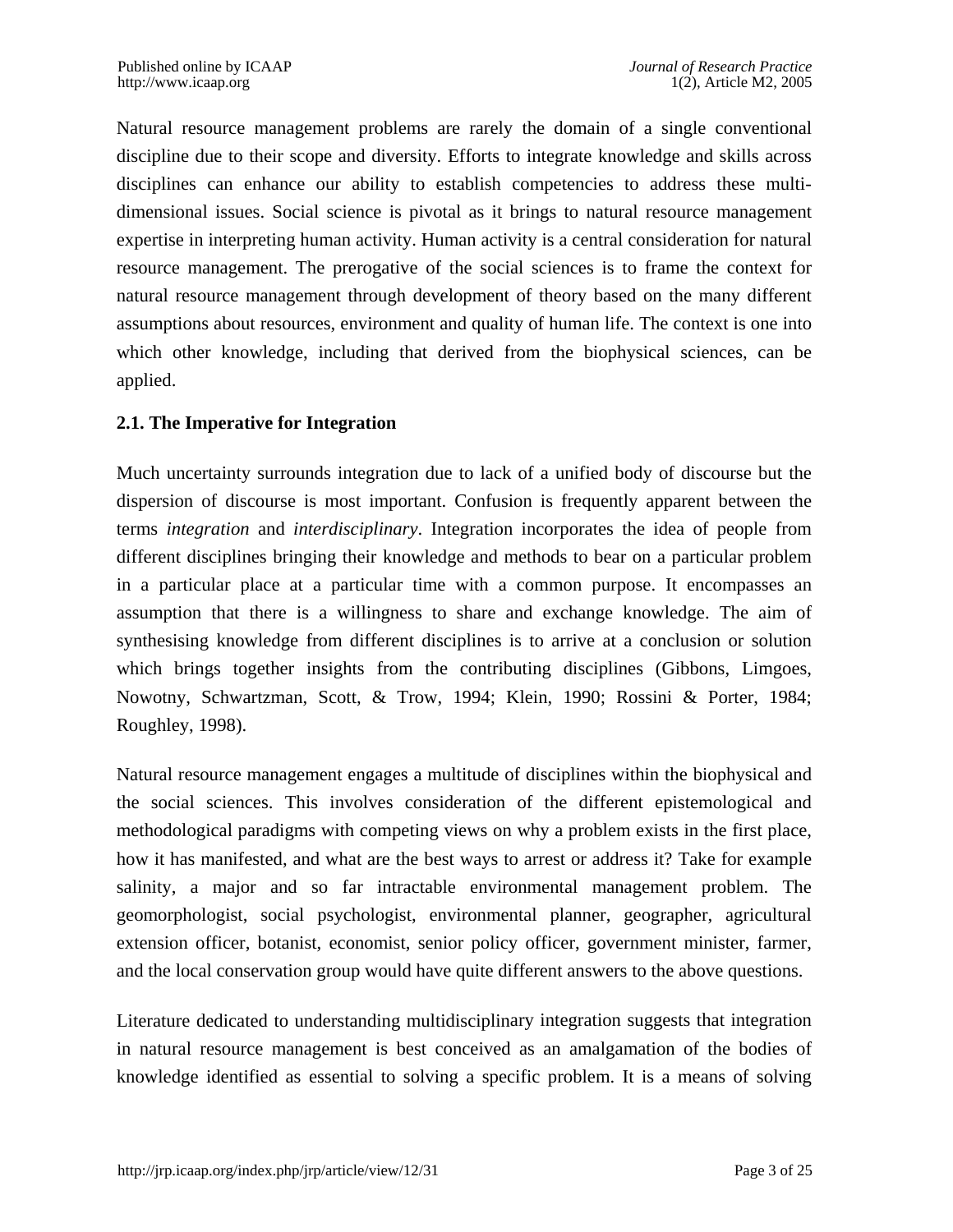Natural resource management problems are rarely the domain of a single conventional discipline due to their scope and diversity. Efforts to integrate knowledge and skills across disciplines can enhance our ability to establish competencies to address these multidimensional issues. Social science is pivotal as it brings to natural resource management expertise in interpreting human activity. Human activity is a central consideration for natural resource management. The prerogative of the social sciences is to frame the context for natural resource management through development of theory based on the many different assumptions about resources, environment and quality of human life. The context is one into which other knowledge, including that derived from the biophysical sciences, can be applied.

#### **2.1. The Imperative for Integration**

Much uncertainty surrounds integration due to lack of a unified body of discourse but the dispersion of discourse is most important. Confusion is frequently apparent between the terms *integration* and *interdisciplinary*. Integration incorporates the idea of people from different disciplines bringing their knowledge and methods to bear on a particular problem in a particular place at a particular time with a common purpose. It encompasses an assumption that there is a willingness to share and exchange knowledge. The aim of synthesising knowledge from different disciplines is to arrive at a conclusion or solution which brings together insights from the contributing disciplines (Gibbons, Limgoes, Nowotny, Schwartzman, Scott, & Trow, 1994; Klein, 1990; Rossini & Porter, 1984; Roughley, 1998).

Natural resource management engages a multitude of disciplines within the biophysical and the social sciences. This involves consideration of the different epistemological and methodological paradigms with competing views on why a problem exists in the first place, how it has manifested, and what are the best ways to arrest or address it? Take for example salinity, a major and so far intractable environmental management problem. The geomorphologist, social psychologist, environmental planner, geographer, agricultural extension officer, botanist, economist, senior policy officer, government minister, farmer, and the local conservation group would have quite different answers to the above questions.

Literature dedicated to understanding multidisciplinary integration suggests that integration in natural resource management is best conceived as an amalgamation of the bodies of knowledge identified as essential to solving a specific problem. It is a means of solving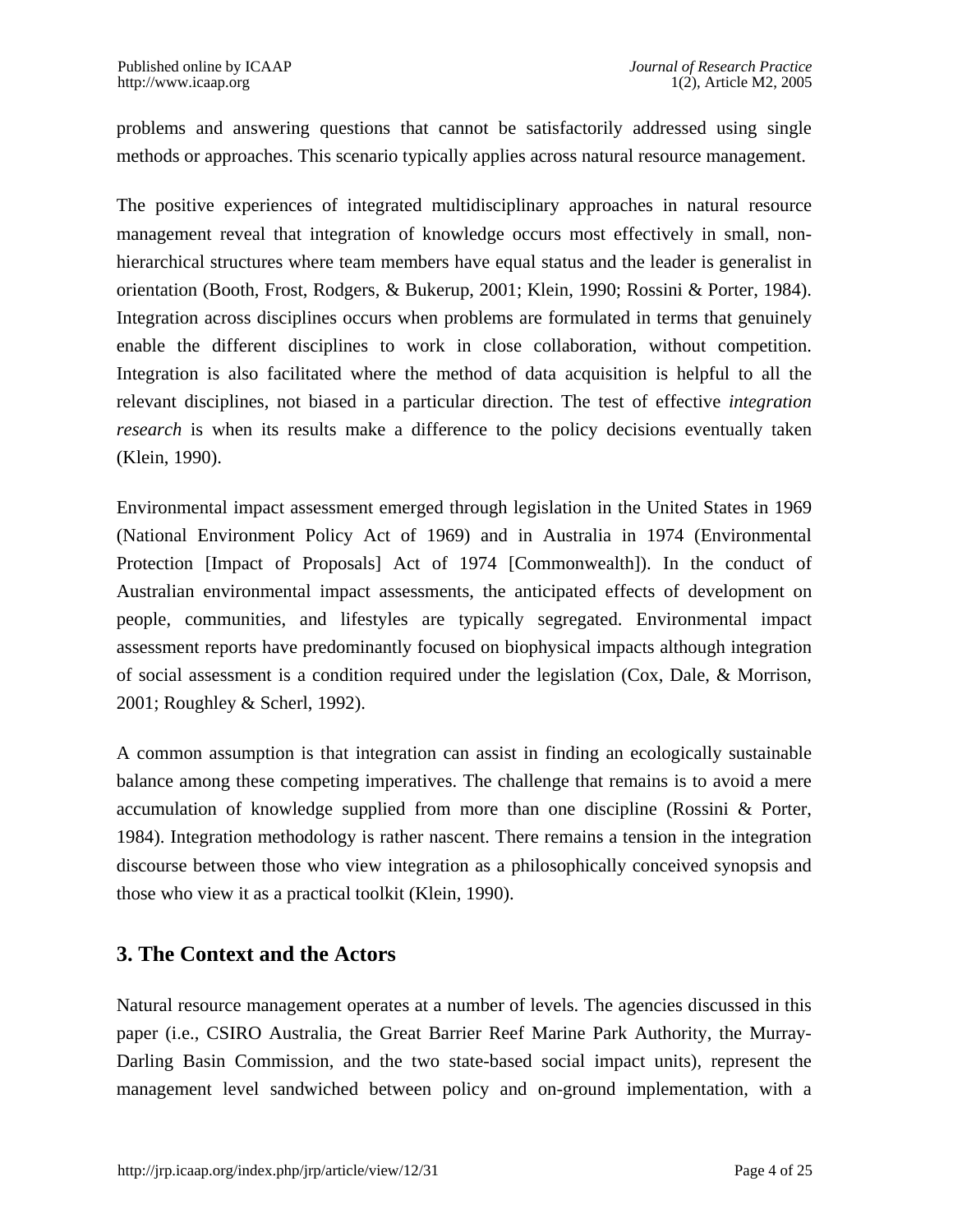problems and answering questions that cannot be satisfactorily addressed using single methods or approaches. This scenario typically applies across natural resource management.

The positive experiences of integrated multidisciplinary approaches in natural resource management reveal that integration of knowledge occurs most effectively in small, nonhierarchical structures where team members have equal status and the leader is generalist in orientation (Booth, Frost, Rodgers, & Bukerup, 2001; Klein, 1990; Rossini & Porter, 1984). Integration across disciplines occurs when problems are formulated in terms that genuinely enable the different disciplines to work in close collaboration, without competition. Integration is also facilitated where the method of data acquisition is helpful to all the relevant disciplines, not biased in a particular direction. The test of effective *integration research* is when its results make a difference to the policy decisions eventually taken (Klein, 1990).

Environmental impact assessment emerged through legislation in the United States in 1969 (National Environment Policy Act of 1969) and in Australia in 1974 (Environmental Protection [Impact of Proposals] Act of 1974 [Commonwealth]). In the conduct of Australian environmental impact assessments, the anticipated effects of development on people, communities, and lifestyles are typically segregated. Environmental impact assessment reports have predominantly focused on biophysical impacts although integration of social assessment is a condition required under the legislation (Cox, Dale, & Morrison, 2001; Roughley & Scherl, 1992).

A common assumption is that integration can assist in finding an ecologically sustainable balance among these competing imperatives. The challenge that remains is to avoid a mere accumulation of knowledge supplied from more than one discipline (Rossini & Porter, 1984). Integration methodology is rather nascent. There remains a tension in the integration discourse between those who view integration as a philosophically conceived synopsis and those who view it as a practical toolkit (Klein, 1990).

### **3. The Context and the Actors**

Natural resource management operates at a number of levels. The agencies discussed in this paper (i.e., CSIRO Australia, the Great Barrier Reef Marine Park Authority, the Murray-Darling Basin Commission, and the two state-based social impact units), represent the management level sandwiched between policy and on-ground implementation, with a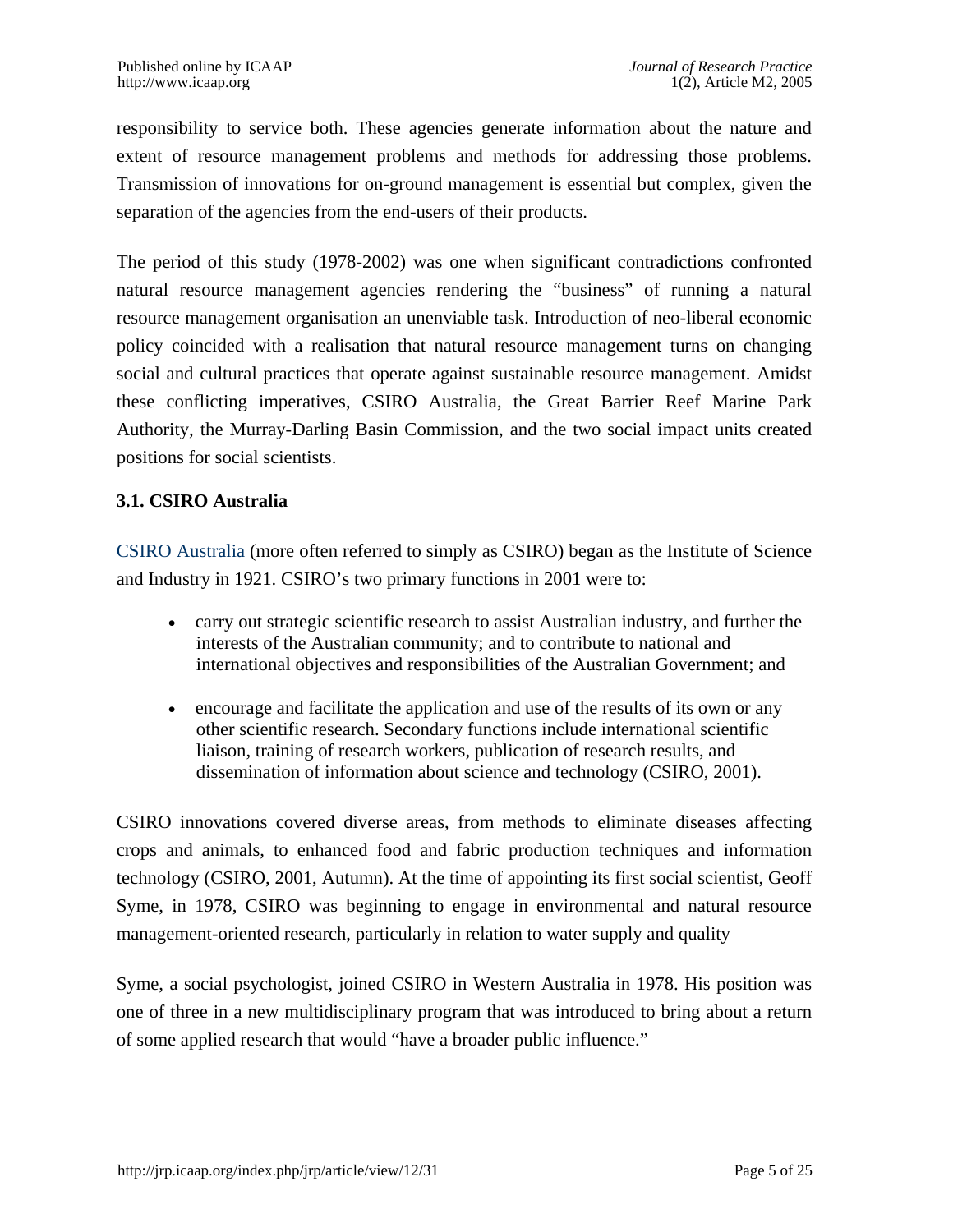responsibility to service both. These agencies generate information about the nature and extent of resource management problems and methods for addressing those problems. Transmission of innovations for on-ground management is essential but complex, given the separation of the agencies from the end-users of their products.

The period of this study (1978-2002) was one when significant contradictions confronted natural resource management agencies rendering the "business" of running a natural resource management organisation an unenviable task. Introduction of neo-liberal economic policy coincided with a realisation that natural resource management turns on changing social and cultural practices that operate against sustainable resource management. Amidst these conflicting imperatives, CSIRO Australia, the Great Barrier Reef Marine Park Authority, the Murray-Darling Basin Commission, and the two social impact units created positions for social scientists.

#### **3.1. CSIRO Australia**

[CSIRO Australia](http://www.csiro.au/) (more often referred to simply as CSIRO) began as the Institute of Science and Industry in 1921. CSIRO's two primary functions in 2001 were to:

- carry out strategic scientific research to assist Australian industry, and further the interests of the Australian community; and to contribute to national and international objectives and responsibilities of the Australian Government; and
- encourage and facilitate the application and use of the results of its own or any other scientific research. Secondary functions include international scientific liaison, training of research workers, publication of research results, and dissemination of information about science and technology (CSIRO, 2001).

CSIRO innovations covered diverse areas, from methods to eliminate diseases affecting crops and animals, to enhanced food and fabric production techniques and information technology (CSIRO, 2001, Autumn). At the time of appointing its first social scientist, Geoff Syme, in 1978, CSIRO was beginning to engage in environmental and natural resource management-oriented research, particularly in relation to water supply and quality

Syme, a social psychologist, joined CSIRO in Western Australia in 1978. His position was one of three in a new multidisciplinary program that was introduced to bring about a return of some applied research that would "have a broader public influence."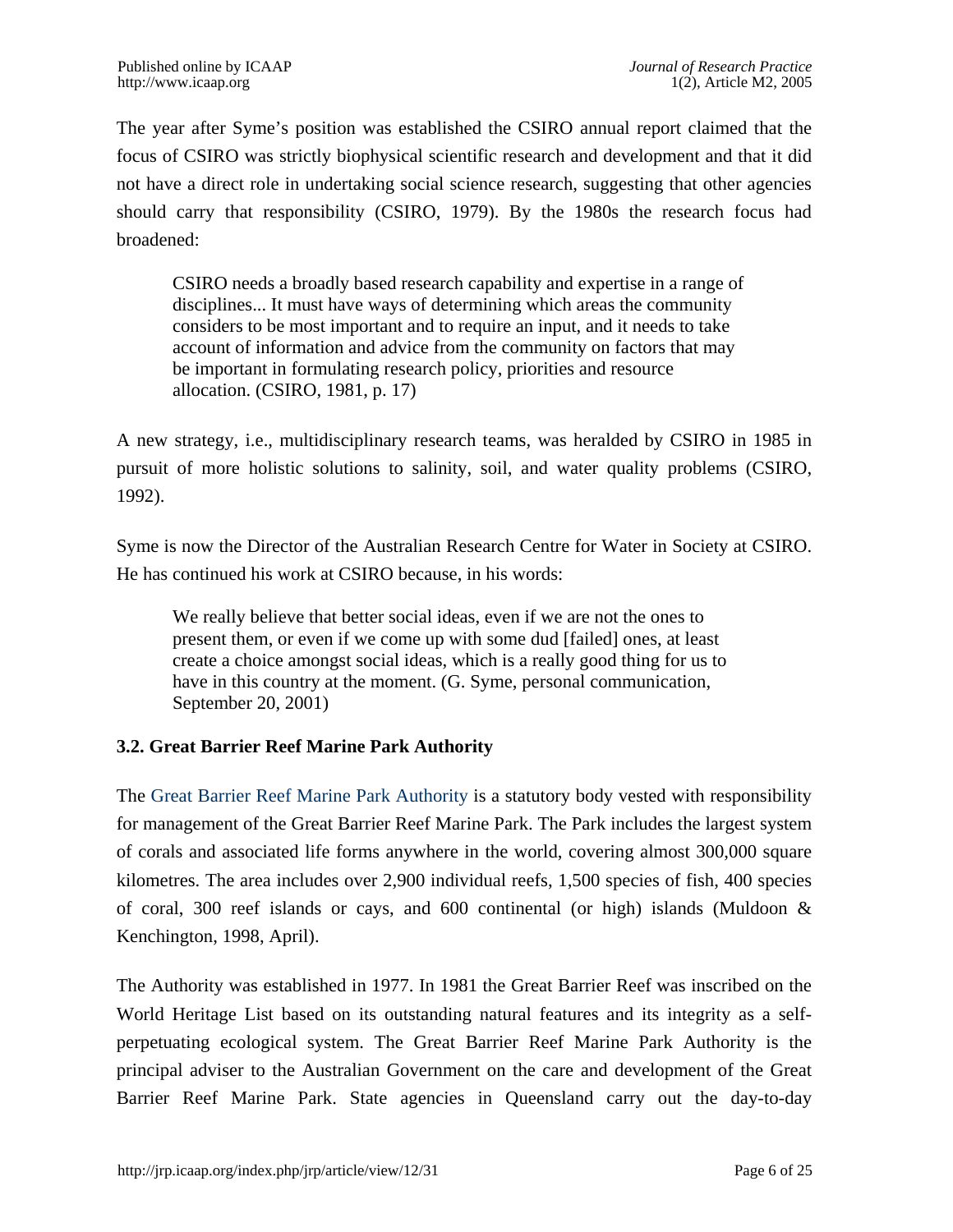The year after Syme's position was established the CSIRO annual report claimed that the focus of CSIRO was strictly biophysical scientific research and development and that it did not have a direct role in undertaking social science research, suggesting that other agencies should carry that responsibility (CSIRO, 1979). By the 1980s the research focus had broadened:

CSIRO needs a broadly based research capability and expertise in a range of disciplines... It must have ways of determining which areas the community considers to be most important and to require an input, and it needs to take account of information and advice from the community on factors that may be important in formulating research policy, priorities and resource allocation. (CSIRO, 1981, p. 17)

A new strategy, i.e., multidisciplinary research teams, was heralded by CSIRO in 1985 in pursuit of more holistic solutions to salinity, soil, and water quality problems (CSIRO, 1992).

Syme is now the Director of the Australian Research Centre for Water in Society at CSIRO. He has continued his work at CSIRO because, in his words:

We really believe that better social ideas, even if we are not the ones to present them, or even if we come up with some dud [failed] ones, at least create a choice amongst social ideas, which is a really good thing for us to have in this country at the moment. (G. Syme, personal communication, September 20, 2001)

#### **3.2. Great Barrier Reef Marine Park Authority**

The [Great Barrier Reef Marine Park Authority](http://www.gbrmpa.gov.au/) is a statutory body vested with responsibility for management of the Great Barrier Reef Marine Park. The Park includes the largest system of corals and associated life forms anywhere in the world, covering almost 300,000 square kilometres. The area includes over 2,900 individual reefs, 1,500 species of fish, 400 species of coral, 300 reef islands or cays, and 600 continental (or high) islands (Muldoon  $\&$ Kenchington, 1998, April).

The Authority was established in 1977. In 1981 the Great Barrier Reef was inscribed on the World Heritage List based on its outstanding natural features and its integrity as a selfperpetuating ecological system. The Great Barrier Reef Marine Park Authority is the principal adviser to the Australian Government on the care and development of the Great Barrier Reef Marine Park. State agencies in Queensland carry out the day-to-day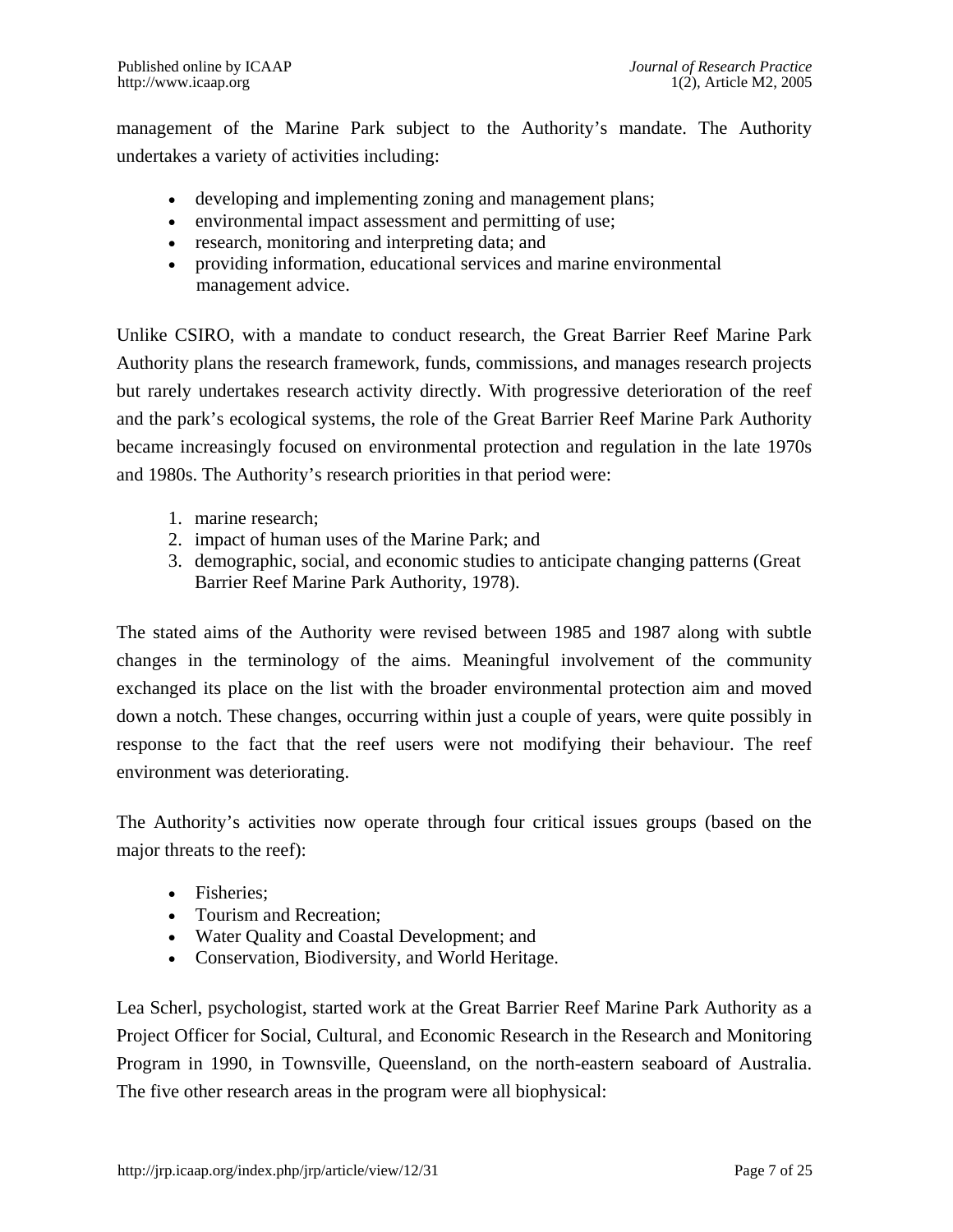management of the Marine Park subject to the Authority's mandate. The Authority undertakes a variety of activities including:

- developing and implementing zoning and management plans;
- environmental impact assessment and permitting of use;
- research, monitoring and interpreting data; and
- providing information, educational services and marine environmental management advice.

Unlike CSIRO, with a mandate to conduct research, the Great Barrier Reef Marine Park Authority plans the research framework, funds, commissions, and manages research projects but rarely undertakes research activity directly. With progressive deterioration of the reef and the park's ecological systems, the role of the Great Barrier Reef Marine Park Authority became increasingly focused on environmental protection and regulation in the late 1970s and 1980s. The Authority's research priorities in that period were:

- 1. marine research;
- 2. impact of human uses of the Marine Park; and
- 3. demographic, social, and economic studies to anticipate changing patterns (Great Barrier Reef Marine Park Authority, 1978).

The stated aims of the Authority were revised between 1985 and 1987 along with subtle changes in the terminology of the aims. Meaningful involvement of the community exchanged its place on the list with the broader environmental protection aim and moved down a notch. These changes, occurring within just a couple of years, were quite possibly in response to the fact that the reef users were not modifying their behaviour. The reef environment was deteriorating.

The Authority's activities now operate through four critical issues groups (based on the major threats to the reef):

- Fisheries:
- Tourism and Recreation;
- Water Quality and Coastal Development; and
- Conservation, Biodiversity, and World Heritage.

Lea Scherl, psychologist, started work at the Great Barrier Reef Marine Park Authority as a Project Officer for Social, Cultural, and Economic Research in the Research and Monitoring Program in 1990, in Townsville, Queensland, on the north-eastern seaboard of Australia. The five other research areas in the program were all biophysical: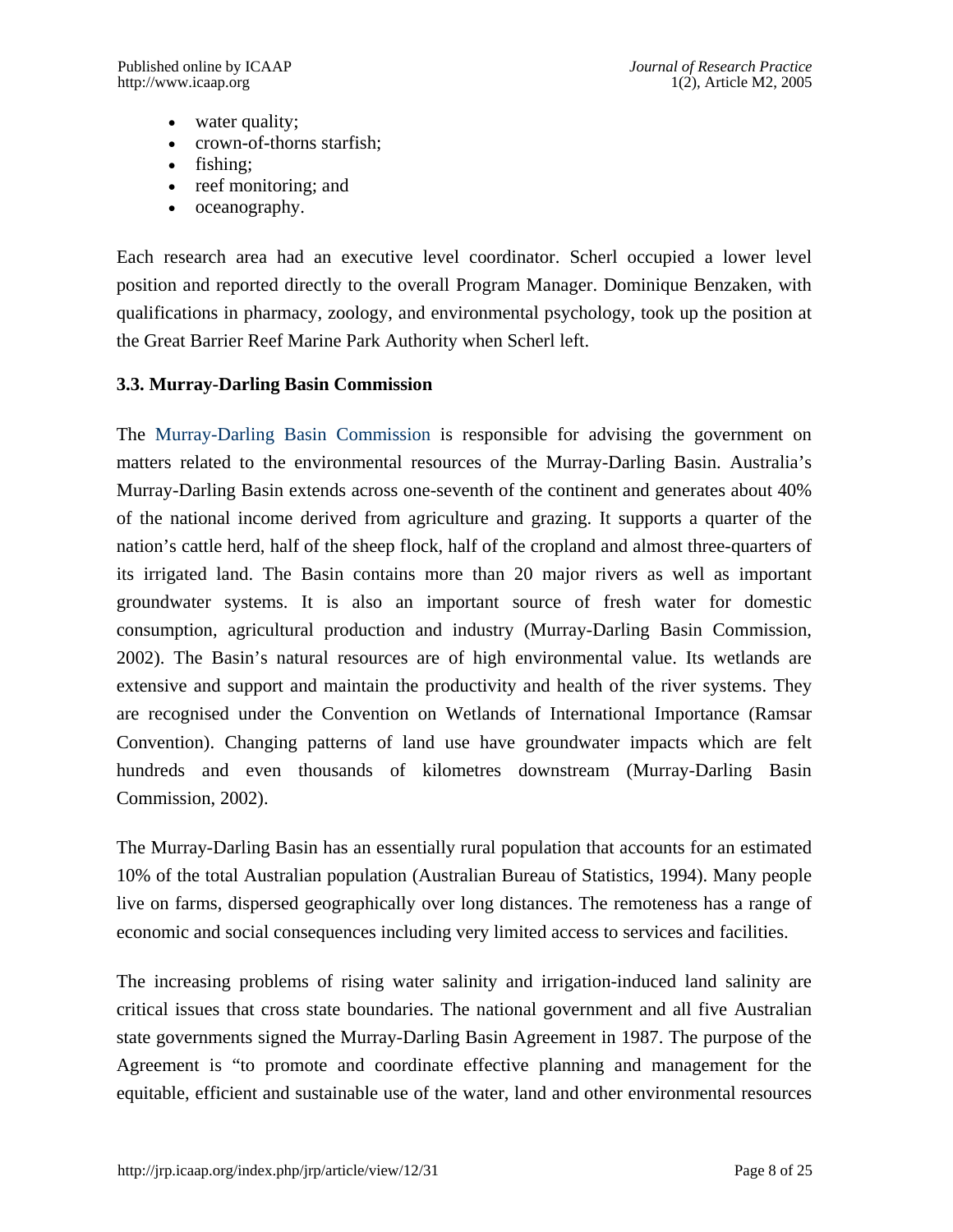- water quality;
- crown-of-thorns starfish;
- fishing;
- reef monitoring; and
- oceanography.

Each research area had an executive level coordinator. Scherl occupied a lower level position and reported directly to the overall Program Manager. Dominique Benzaken, with qualifications in pharmacy, zoology, and environmental psychology, took up the position at the Great Barrier Reef Marine Park Authority when Scherl left.

#### **3.3. Murray-Darling Basin Commission**

The [Murray-Darling Basin Commission](http://www.mdbc.gov.au/) is responsible for advising the government on matters related to the environmental resources of the Murray-Darling Basin. Australia's Murray-Darling Basin extends across one-seventh of the continent and generates about 40% of the national income derived from agriculture and grazing. It supports a quarter of the nation's cattle herd, half of the sheep flock, half of the cropland and almost three-quarters of its irrigated land. The Basin contains more than 20 major rivers as well as important groundwater systems. It is also an important source of fresh water for domestic consumption, agricultural production and industry (Murray-Darling Basin Commission, 2002). The Basin's natural resources are of high environmental value. Its wetlands are extensive and support and maintain the productivity and health of the river systems. They are recognised under the Convention on Wetlands of International Importance (Ramsar Convention). Changing patterns of land use have groundwater impacts which are felt hundreds and even thousands of kilometres downstream (Murray-Darling Basin Commission, 2002).

The Murray-Darling Basin has an essentially rural population that accounts for an estimated 10% of the total Australian population (Australian Bureau of Statistics, 1994). Many people live on farms, dispersed geographically over long distances. The remoteness has a range of economic and social consequences including very limited access to services and facilities.

The increasing problems of rising water salinity and irrigation-induced land salinity are critical issues that cross state boundaries. The national government and all five Australian state governments signed the Murray-Darling Basin Agreement in 1987. The purpose of the Agreement is "to promote and coordinate effective planning and management for the equitable, efficient and sustainable use of the water, land and other environmental resources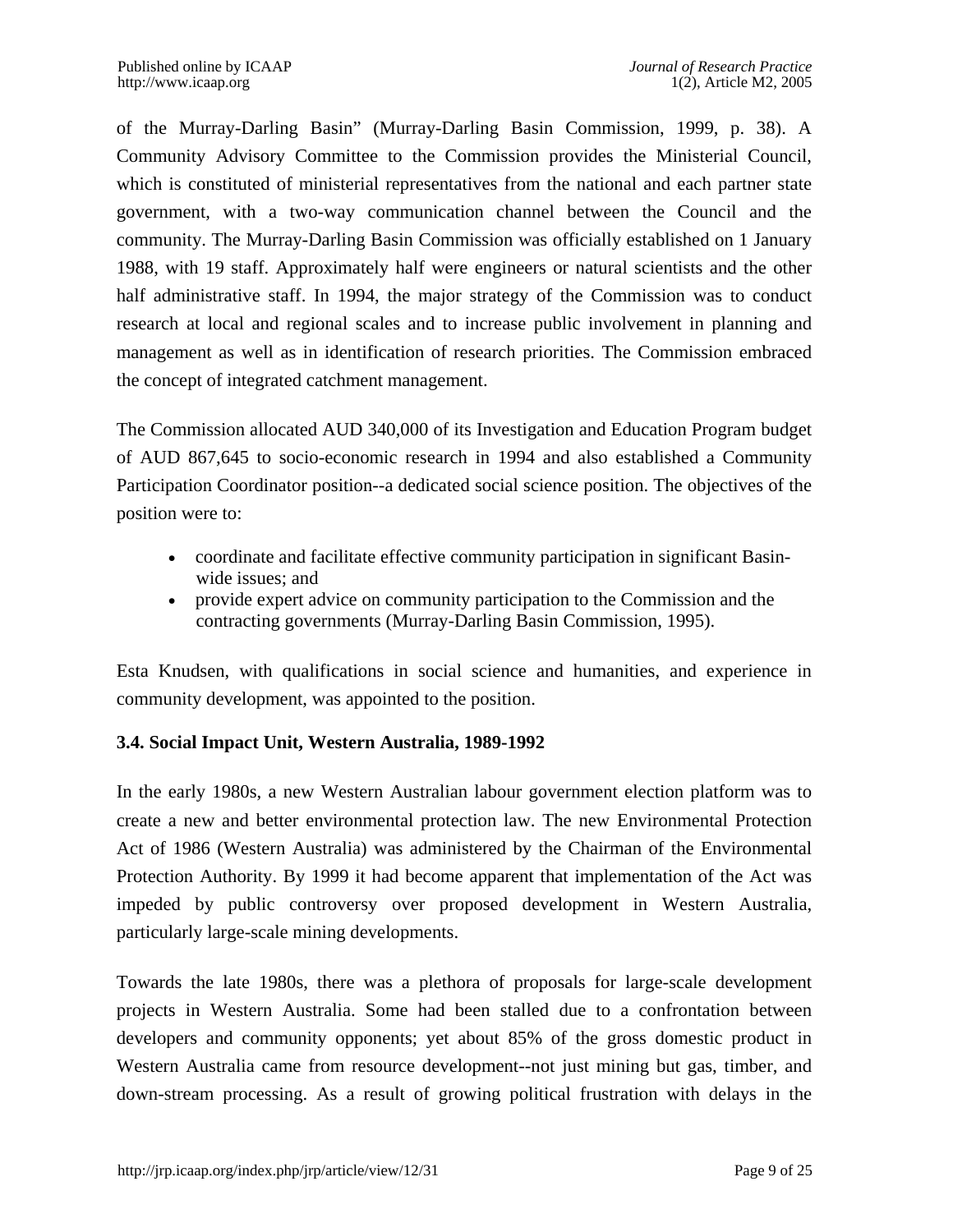of the Murray-Darling Basin" (Murray-Darling Basin Commission, 1999, p. 38). A Community Advisory Committee to the Commission provides the Ministerial Council, which is constituted of ministerial representatives from the national and each partner state government, with a two-way communication channel between the Council and the community. The Murray-Darling Basin Commission was officially established on 1 January 1988, with 19 staff. Approximately half were engineers or natural scientists and the other half administrative staff. In 1994, the major strategy of the Commission was to conduct research at local and regional scales and to increase public involvement in planning and management as well as in identification of research priorities. The Commission embraced the concept of integrated catchment management.

The Commission allocated AUD 340,000 of its Investigation and Education Program budget of AUD 867,645 to socio-economic research in 1994 and also established a Community Participation Coordinator position--a dedicated social science position. The objectives of the position were to:

- coordinate and facilitate effective community participation in significant Basinwide issues; and
- provide expert advice on community participation to the Commission and the contracting governments (Murray-Darling Basin Commission, 1995).

Esta Knudsen, with qualifications in social science and humanities, and experience in community development, was appointed to the position.

#### **3.4. Social Impact Unit, Western Australia, 1989-1992**

In the early 1980s, a new Western Australian labour government election platform was to create a new and better environmental protection law. The new Environmental Protection Act of 1986 (Western Australia) was administered by the Chairman of the Environmental Protection Authority. By 1999 it had become apparent that implementation of the Act was impeded by public controversy over proposed development in Western Australia, particularly large-scale mining developments.

Towards the late 1980s, there was a plethora of proposals for large-scale development projects in Western Australia. Some had been stalled due to a confrontation between developers and community opponents; yet about 85% of the gross domestic product in Western Australia came from resource development--not just mining but gas, timber, and down-stream processing. As a result of growing political frustration with delays in the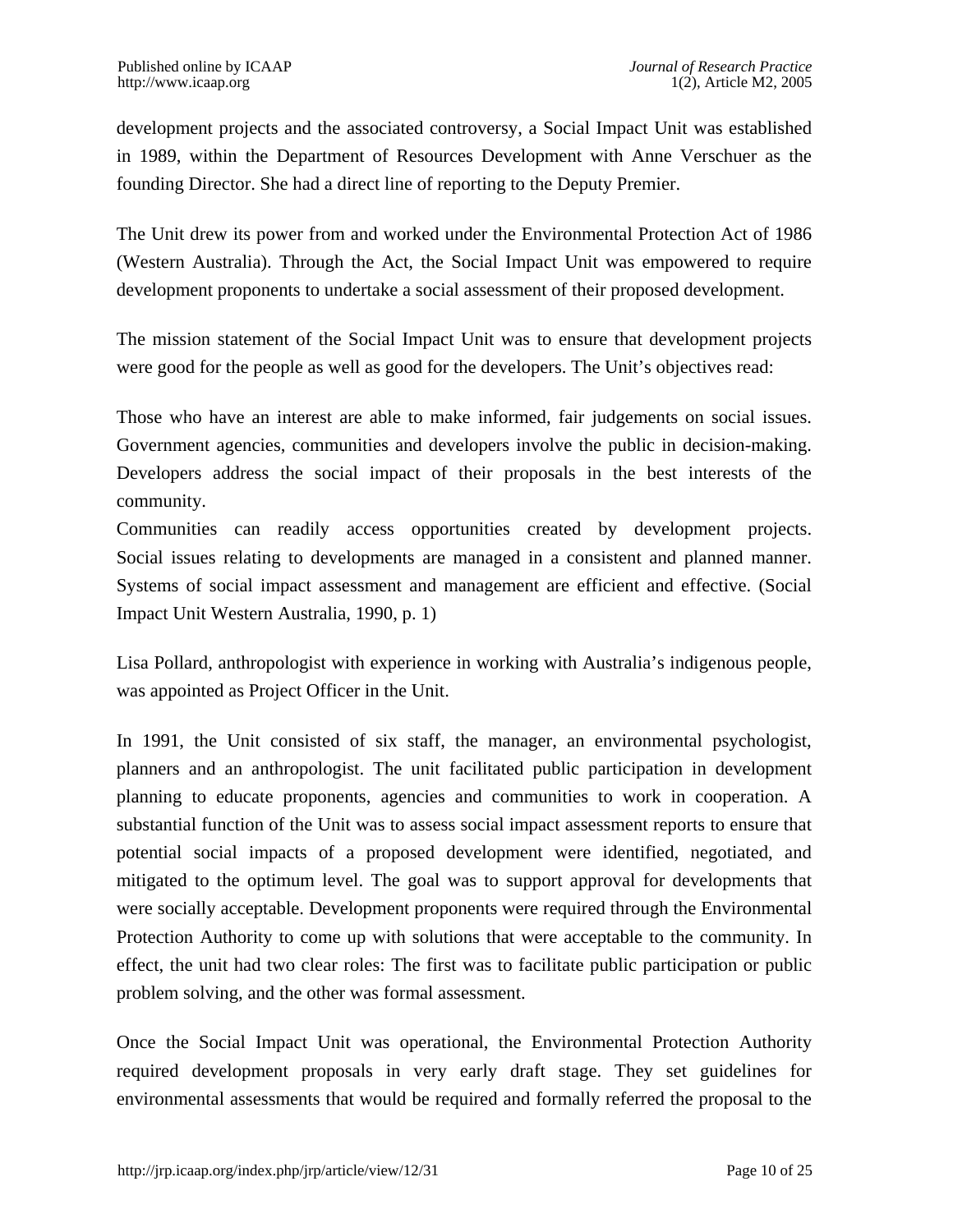development projects and the associated controversy, a Social Impact Unit was established in 1989, within the Department of Resources Development with Anne Verschuer as the founding Director. She had a direct line of reporting to the Deputy Premier.

The Unit drew its power from and worked under the Environmental Protection Act of 1986 (Western Australia). Through the Act, the Social Impact Unit was empowered to require development proponents to undertake a social assessment of their proposed development.

The mission statement of the Social Impact Unit was to ensure that development projects were good for the people as well as good for the developers. The Unit's objectives read:

Those who have an interest are able to make informed, fair judgements on social issues. Government agencies, communities and developers involve the public in decision-making. Developers address the social impact of their proposals in the best interests of the community.

Communities can readily access opportunities created by development projects. Social issues relating to developments are managed in a consistent and planned manner. Systems of social impact assessment and management are efficient and effective. (Social Impact Unit Western Australia, 1990, p. 1)

Lisa Pollard, anthropologist with experience in working with Australia's indigenous people, was appointed as Project Officer in the Unit.

In 1991, the Unit consisted of six staff, the manager, an environmental psychologist, planners and an anthropologist. The unit facilitated public participation in development planning to educate proponents, agencies and communities to work in cooperation. A substantial function of the Unit was to assess social impact assessment reports to ensure that potential social impacts of a proposed development were identified, negotiated, and mitigated to the optimum level. The goal was to support approval for developments that were socially acceptable. Development proponents were required through the Environmental Protection Authority to come up with solutions that were acceptable to the community. In effect, the unit had two clear roles: The first was to facilitate public participation or public problem solving, and the other was formal assessment.

Once the Social Impact Unit was operational, the Environmental Protection Authority required development proposals in very early draft stage. They set guidelines for environmental assessments that would be required and formally referred the proposal to the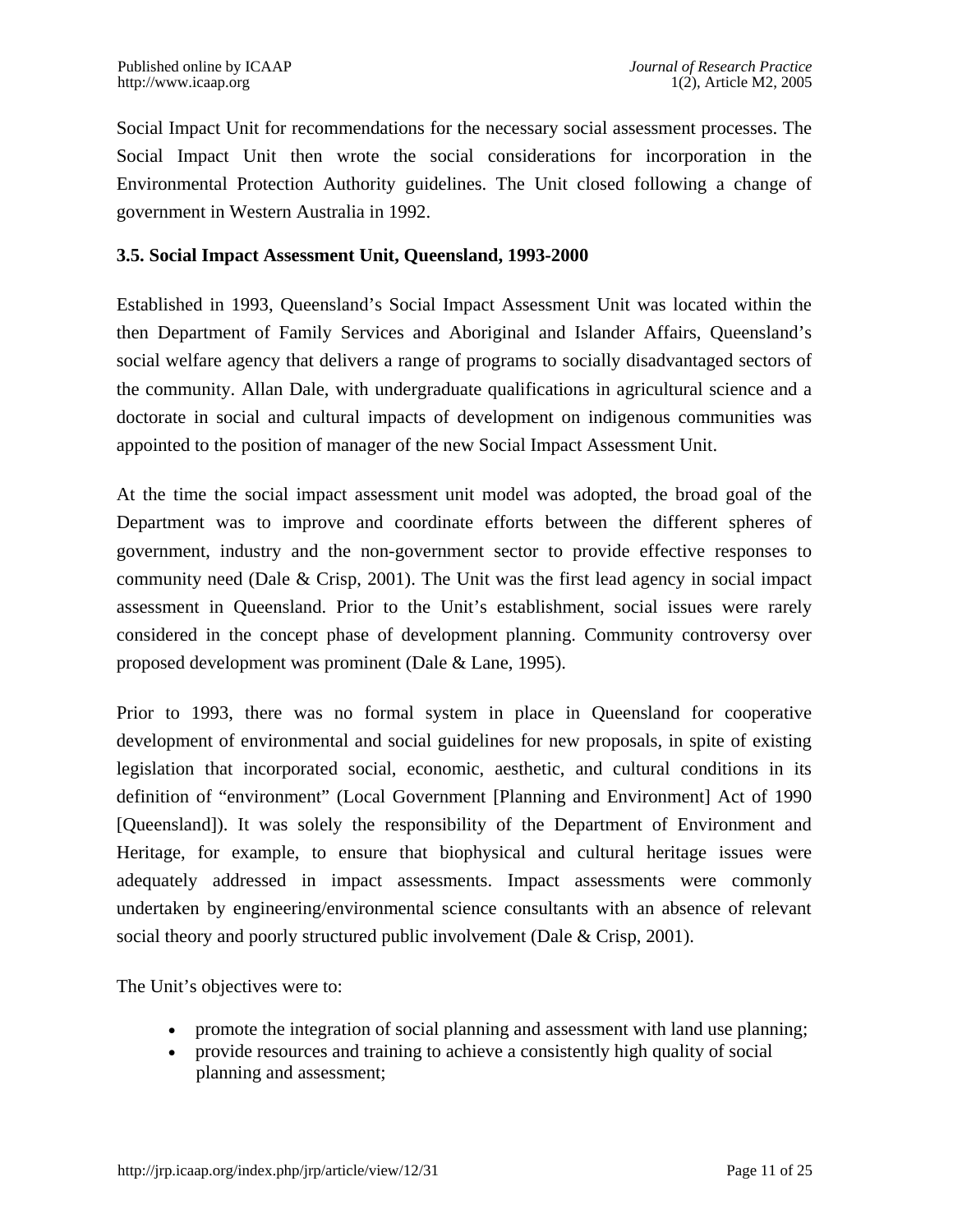Social Impact Unit for recommendations for the necessary social assessment processes. The Social Impact Unit then wrote the social considerations for incorporation in the Environmental Protection Authority guidelines. The Unit closed following a change of government in Western Australia in 1992.

#### **3.5. Social Impact Assessment Unit, Queensland, 1993-2000**

Established in 1993, Queensland's Social Impact Assessment Unit was located within the then Department of Family Services and Aboriginal and Islander Affairs, Queensland's social welfare agency that delivers a range of programs to socially disadvantaged sectors of the community. Allan Dale, with undergraduate qualifications in agricultural science and a doctorate in social and cultural impacts of development on indigenous communities was appointed to the position of manager of the new Social Impact Assessment Unit.

At the time the social impact assessment unit model was adopted, the broad goal of the Department was to improve and coordinate efforts between the different spheres of government, industry and the non-government sector to provide effective responses to community need (Dale & Crisp, 2001). The Unit was the first lead agency in social impact assessment in Queensland. Prior to the Unit's establishment, social issues were rarely considered in the concept phase of development planning. Community controversy over proposed development was prominent (Dale & Lane, 1995).

Prior to 1993, there was no formal system in place in Queensland for cooperative development of environmental and social guidelines for new proposals, in spite of existing legislation that incorporated social, economic, aesthetic, and cultural conditions in its definition of "environment" (Local Government [Planning and Environment] Act of 1990 [Queensland]). It was solely the responsibility of the Department of Environment and Heritage, for example, to ensure that biophysical and cultural heritage issues were adequately addressed in impact assessments. Impact assessments were commonly undertaken by engineering/environmental science consultants with an absence of relevant social theory and poorly structured public involvement (Dale & Crisp, 2001).

The Unit's objectives were to:

- promote the integration of social planning and assessment with land use planning;
- provide resources and training to achieve a consistently high quality of social planning and assessment;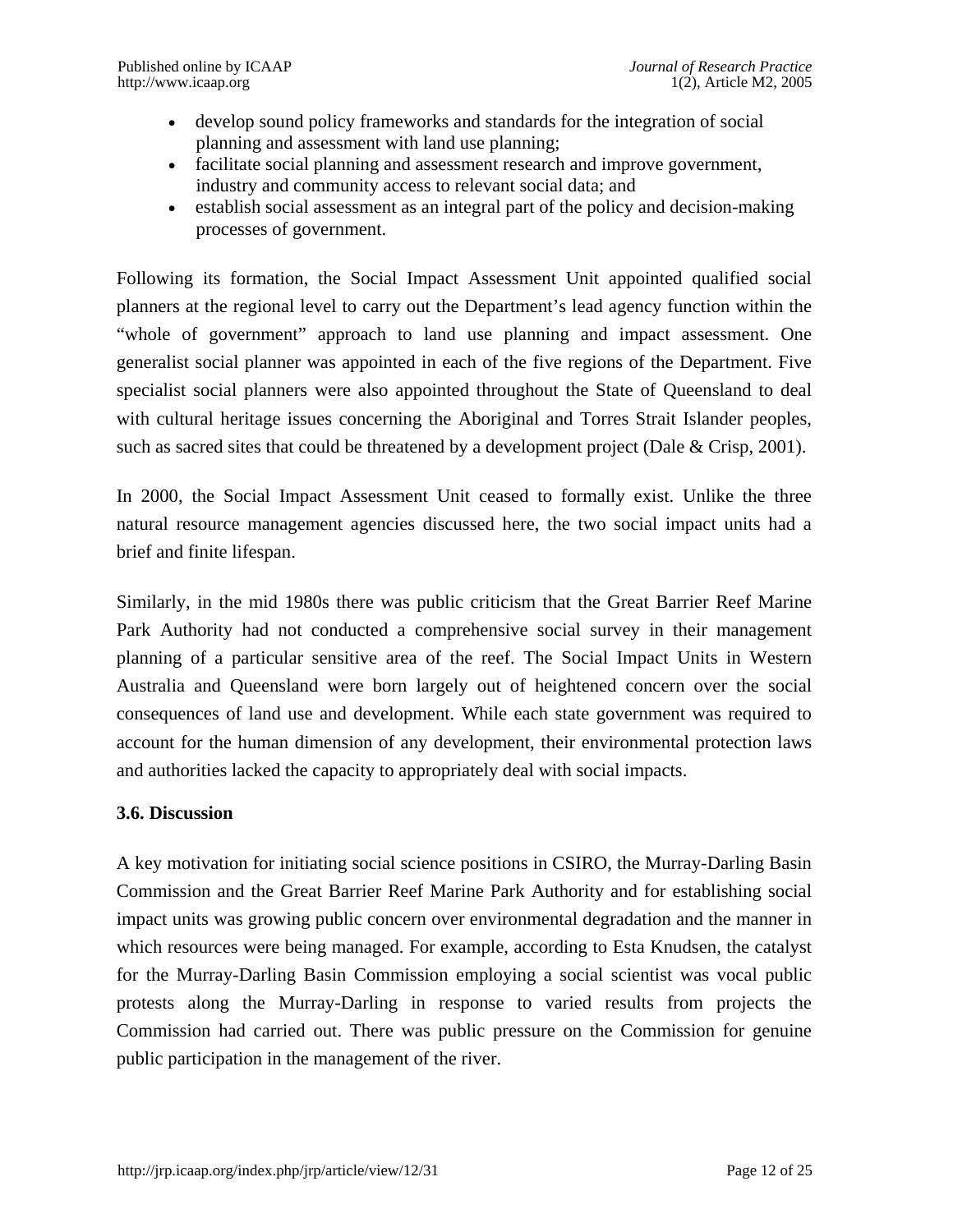- develop sound policy frameworks and standards for the integration of social planning and assessment with land use planning;
- facilitate social planning and assessment research and improve government, industry and community access to relevant social data; and
- establish social assessment as an integral part of the policy and decision-making processes of government.

Following its formation, the Social Impact Assessment Unit appointed qualified social planners at the regional level to carry out the Department's lead agency function within the "whole of government" approach to land use planning and impact assessment. One generalist social planner was appointed in each of the five regions of the Department. Five specialist social planners were also appointed throughout the State of Queensland to deal with cultural heritage issues concerning the Aboriginal and Torres Strait Islander peoples, such as sacred sites that could be threatened by a development project (Dale & Crisp, 2001).

In 2000, the Social Impact Assessment Unit ceased to formally exist. Unlike the three natural resource management agencies discussed here, the two social impact units had a brief and finite lifespan.

Similarly, in the mid 1980s there was public criticism that the Great Barrier Reef Marine Park Authority had not conducted a comprehensive social survey in their management planning of a particular sensitive area of the reef. The Social Impact Units in Western Australia and Queensland were born largely out of heightened concern over the social consequences of land use and development. While each state government was required to account for the human dimension of any development, their environmental protection laws and authorities lacked the capacity to appropriately deal with social impacts.

#### **3.6. Discussion**

A key motivation for initiating social science positions in CSIRO, the Murray-Darling Basin Commission and the Great Barrier Reef Marine Park Authority and for establishing social impact units was growing public concern over environmental degradation and the manner in which resources were being managed. For example, according to Esta Knudsen, the catalyst for the Murray-Darling Basin Commission employing a social scientist was vocal public protests along the Murray-Darling in response to varied results from projects the Commission had carried out. There was public pressure on the Commission for genuine public participation in the management of the river.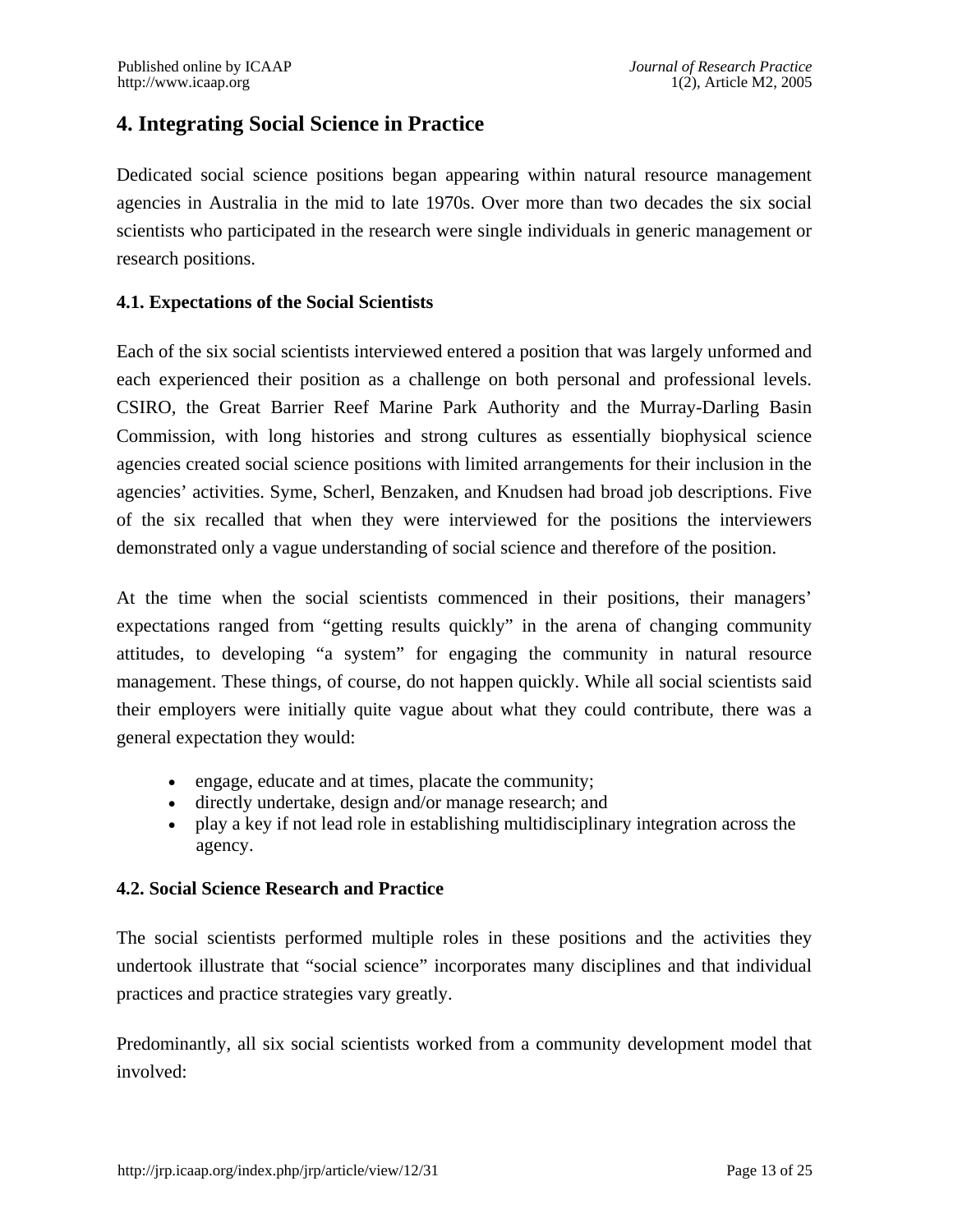### **4. Integrating Social Science in Practice**

Dedicated social science positions began appearing within natural resource management agencies in Australia in the mid to late 1970s. Over more than two decades the six social scientists who participated in the research were single individuals in generic management or research positions.

#### **4.1. Expectations of the Social Scientists**

Each of the six social scientists interviewed entered a position that was largely unformed and each experienced their position as a challenge on both personal and professional levels. CSIRO, the Great Barrier Reef Marine Park Authority and the Murray-Darling Basin Commission, with long histories and strong cultures as essentially biophysical science agencies created social science positions with limited arrangements for their inclusion in the agencies' activities. Syme, Scherl, Benzaken, and Knudsen had broad job descriptions. Five of the six recalled that when they were interviewed for the positions the interviewers demonstrated only a vague understanding of social science and therefore of the position.

At the time when the social scientists commenced in their positions, their managers' expectations ranged from "getting results quickly" in the arena of changing community attitudes, to developing "a system" for engaging the community in natural resource management. These things, of course, do not happen quickly. While all social scientists said their employers were initially quite vague about what they could contribute, there was a general expectation they would:

- engage, educate and at times, placate the community;
- directly undertake, design and/or manage research; and
- play a key if not lead role in establishing multidisciplinary integration across the agency.

#### **4.2. Social Science Research and Practice**

The social scientists performed multiple roles in these positions and the activities they undertook illustrate that "social science" incorporates many disciplines and that individual practices and practice strategies vary greatly.

Predominantly, all six social scientists worked from a community development model that involved: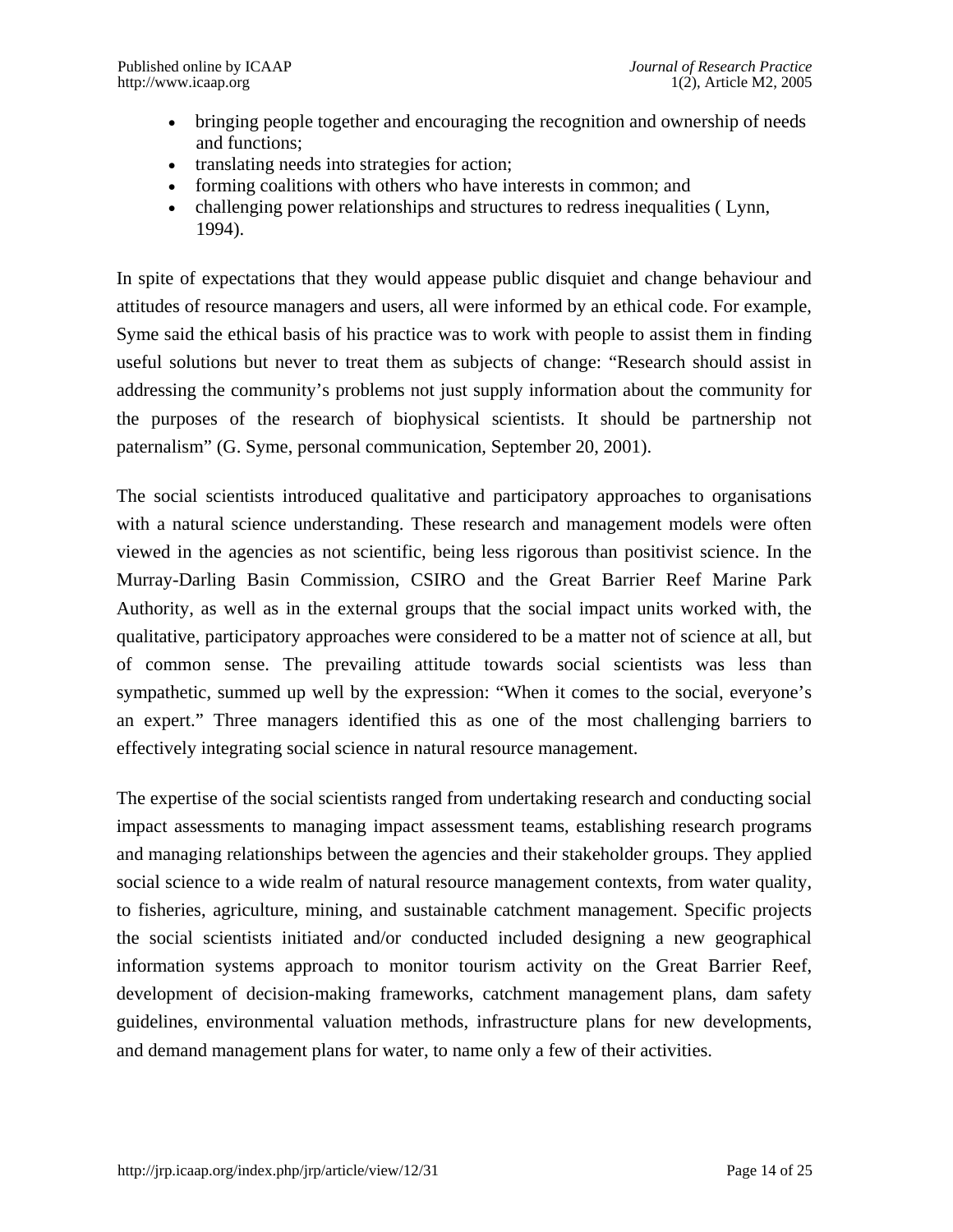- bringing people together and encouraging the recognition and ownership of needs and functions;
- translating needs into strategies for action;
- forming coalitions with others who have interests in common; and
- challenging power relationships and structures to redress inequalities (Lynn, 1994).

In spite of expectations that they would appease public disquiet and change behaviour and attitudes of resource managers and users, all were informed by an ethical code. For example, Syme said the ethical basis of his practice was to work with people to assist them in finding useful solutions but never to treat them as subjects of change: "Research should assist in addressing the community's problems not just supply information about the community for the purposes of the research of biophysical scientists. It should be partnership not paternalism" (G. Syme, personal communication, September 20, 2001).

The social scientists introduced qualitative and participatory approaches to organisations with a natural science understanding. These research and management models were often viewed in the agencies as not scientific, being less rigorous than positivist science. In the Murray-Darling Basin Commission, CSIRO and the Great Barrier Reef Marine Park Authority, as well as in the external groups that the social impact units worked with, the qualitative, participatory approaches were considered to be a matter not of science at all, but of common sense. The prevailing attitude towards social scientists was less than sympathetic, summed up well by the expression: "When it comes to the social, everyone's an expert." Three managers identified this as one of the most challenging barriers to effectively integrating social science in natural resource management.

The expertise of the social scientists ranged from undertaking research and conducting social impact assessments to managing impact assessment teams, establishing research programs and managing relationships between the agencies and their stakeholder groups. They applied social science to a wide realm of natural resource management contexts, from water quality, to fisheries, agriculture, mining, and sustainable catchment management. Specific projects the social scientists initiated and/or conducted included designing a new geographical information systems approach to monitor tourism activity on the Great Barrier Reef, development of decision-making frameworks, catchment management plans, dam safety guidelines, environmental valuation methods, infrastructure plans for new developments, and demand management plans for water, to name only a few of their activities.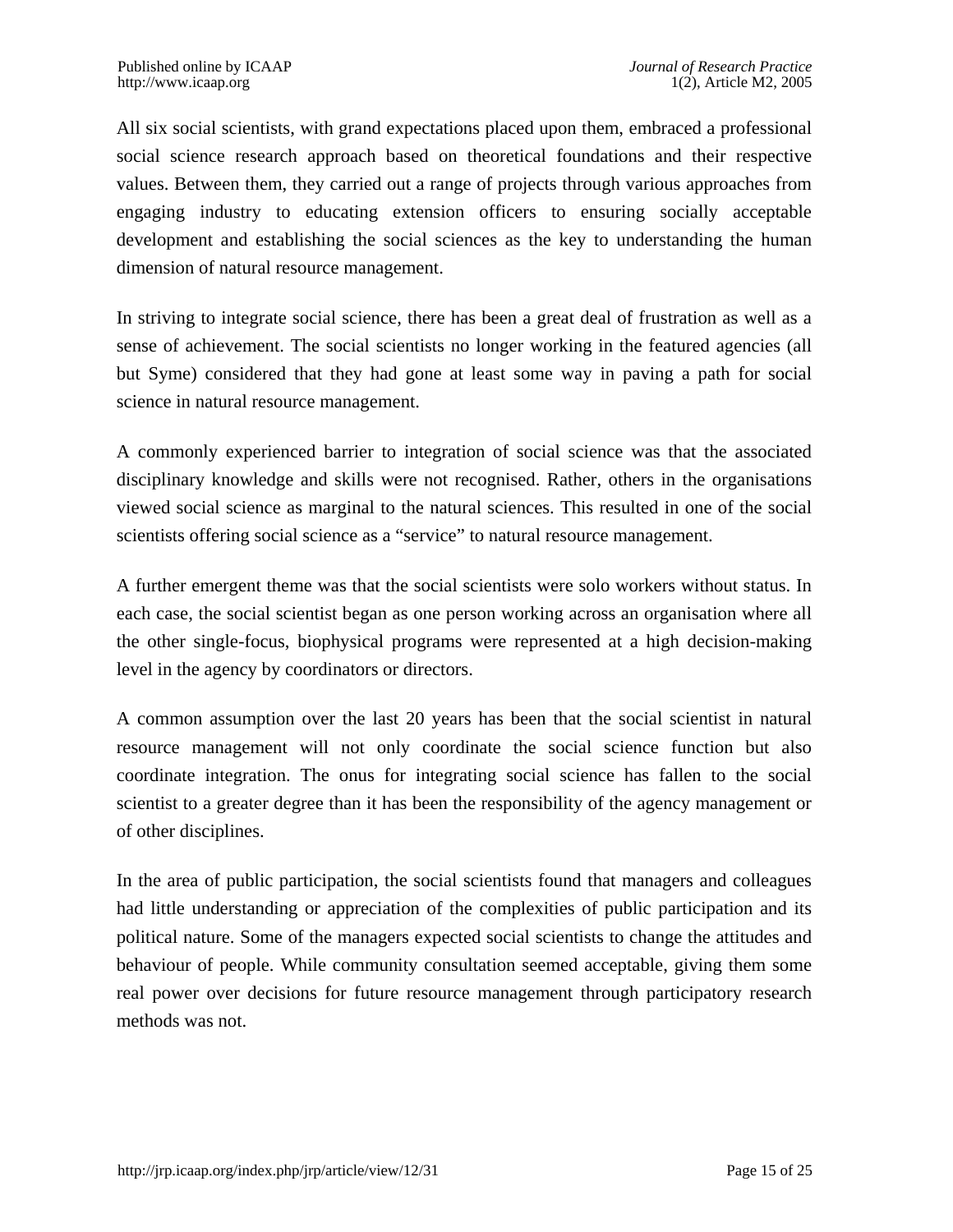All six social scientists, with grand expectations placed upon them, embraced a professional social science research approach based on theoretical foundations and their respective values. Between them, they carried out a range of projects through various approaches from engaging industry to educating extension officers to ensuring socially acceptable development and establishing the social sciences as the key to understanding the human dimension of natural resource management.

In striving to integrate social science, there has been a great deal of frustration as well as a sense of achievement. The social scientists no longer working in the featured agencies (all but Syme) considered that they had gone at least some way in paving a path for social science in natural resource management.

A commonly experienced barrier to integration of social science was that the associated disciplinary knowledge and skills were not recognised. Rather, others in the organisations viewed social science as marginal to the natural sciences. This resulted in one of the social scientists offering social science as a "service" to natural resource management.

A further emergent theme was that the social scientists were solo workers without status. In each case, the social scientist began as one person working across an organisation where all the other single-focus, biophysical programs were represented at a high decision-making level in the agency by coordinators or directors.

A common assumption over the last 20 years has been that the social scientist in natural resource management will not only coordinate the social science function but also coordinate integration. The onus for integrating social science has fallen to the social scientist to a greater degree than it has been the responsibility of the agency management or of other disciplines.

In the area of public participation, the social scientists found that managers and colleagues had little understanding or appreciation of the complexities of public participation and its political nature. Some of the managers expected social scientists to change the attitudes and behaviour of people. While community consultation seemed acceptable, giving them some real power over decisions for future resource management through participatory research methods was not.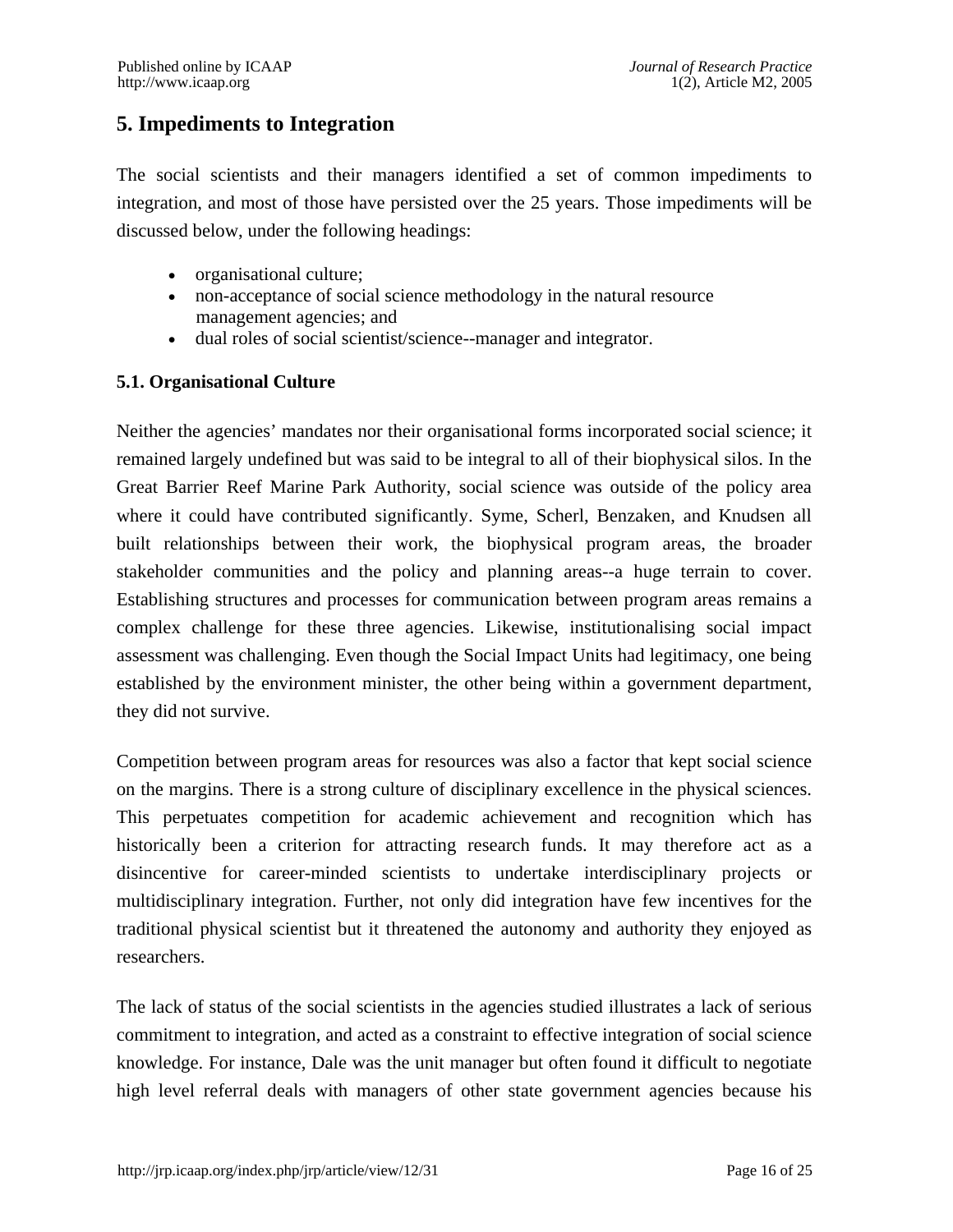### **5. Impediments to Integration**

The social scientists and their managers identified a set of common impediments to integration, and most of those have persisted over the 25 years. Those impediments will be discussed below, under the following headings:

- organisational culture;
- non-acceptance of social science methodology in the natural resource management agencies; and
- dual roles of social scientist/science--manager and integrator.

#### **5.1. Organisational Culture**

Neither the agencies' mandates nor their organisational forms incorporated social science; it remained largely undefined but was said to be integral to all of their biophysical silos. In the Great Barrier Reef Marine Park Authority, social science was outside of the policy area where it could have contributed significantly. Syme, Scherl, Benzaken, and Knudsen all built relationships between their work, the biophysical program areas, the broader stakeholder communities and the policy and planning areas--a huge terrain to cover. Establishing structures and processes for communication between program areas remains a complex challenge for these three agencies. Likewise, institutionalising social impact assessment was challenging. Even though the Social Impact Units had legitimacy, one being established by the environment minister, the other being within a government department, they did not survive.

Competition between program areas for resources was also a factor that kept social science on the margins. There is a strong culture of disciplinary excellence in the physical sciences. This perpetuates competition for academic achievement and recognition which has historically been a criterion for attracting research funds. It may therefore act as a disincentive for career-minded scientists to undertake interdisciplinary projects or multidisciplinary integration. Further, not only did integration have few incentives for the traditional physical scientist but it threatened the autonomy and authority they enjoyed as researchers.

The lack of status of the social scientists in the agencies studied illustrates a lack of serious commitment to integration, and acted as a constraint to effective integration of social science knowledge. For instance, Dale was the unit manager but often found it difficult to negotiate high level referral deals with managers of other state government agencies because his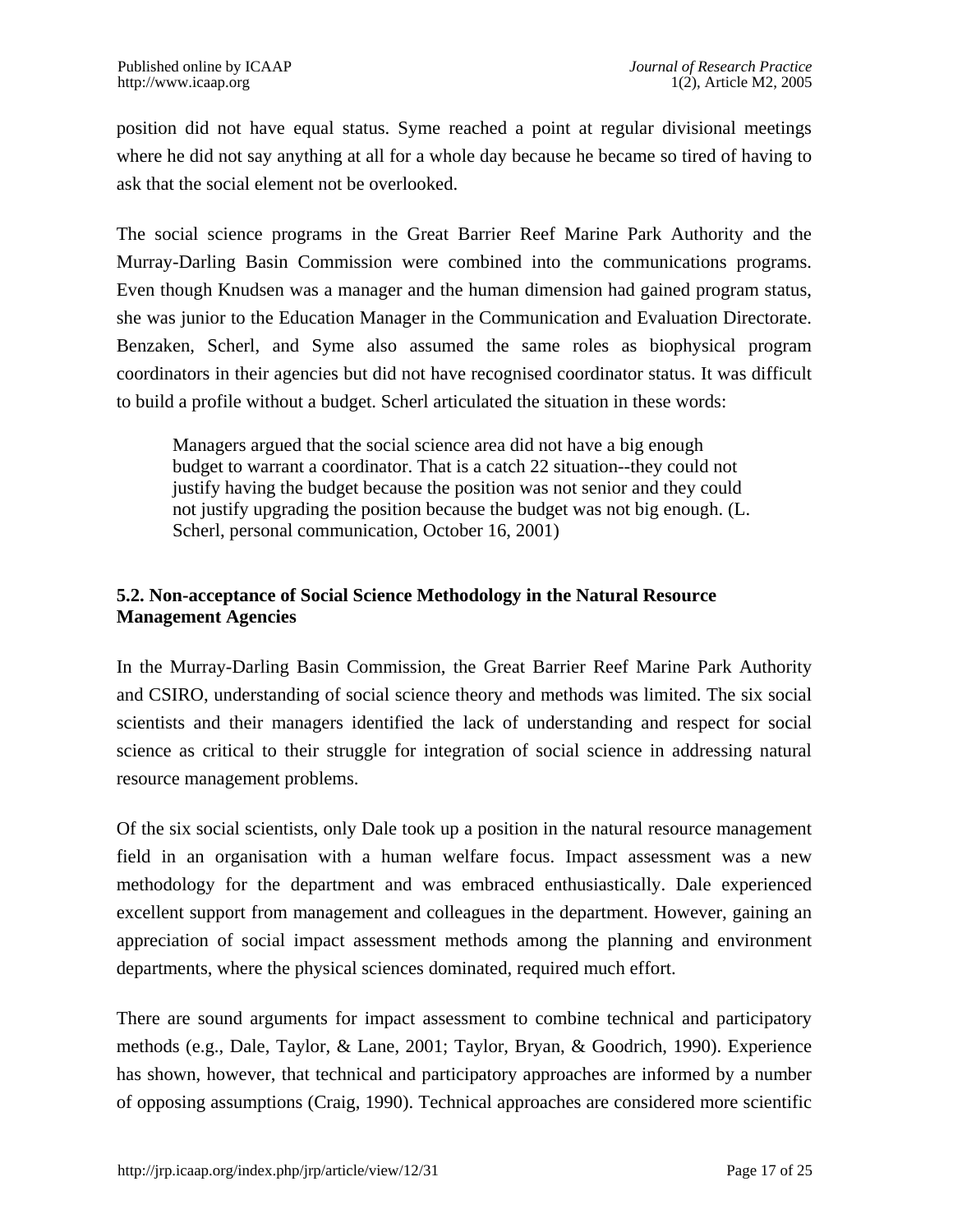position did not have equal status. Syme reached a point at regular divisional meetings where he did not say anything at all for a whole day because he became so tired of having to ask that the social element not be overlooked.

The social science programs in the Great Barrier Reef Marine Park Authority and the Murray-Darling Basin Commission were combined into the communications programs. Even though Knudsen was a manager and the human dimension had gained program status, she was junior to the Education Manager in the Communication and Evaluation Directorate. Benzaken, Scherl, and Syme also assumed the same roles as biophysical program coordinators in their agencies but did not have recognised coordinator status. It was difficult to build a profile without a budget. Scherl articulated the situation in these words:

Managers argued that the social science area did not have a big enough budget to warrant a coordinator. That is a catch 22 situation--they could not justify having the budget because the position was not senior and they could not justify upgrading the position because the budget was not big enough. (L. Scherl, personal communication, October 16, 2001)

#### **5.2. Non-acceptance of Social Science Methodology in the Natural Resource Management Agencies**

In the Murray-Darling Basin Commission, the Great Barrier Reef Marine Park Authority and CSIRO, understanding of social science theory and methods was limited. The six social scientists and their managers identified the lack of understanding and respect for social science as critical to their struggle for integration of social science in addressing natural resource management problems.

Of the six social scientists, only Dale took up a position in the natural resource management field in an organisation with a human welfare focus. Impact assessment was a new methodology for the department and was embraced enthusiastically. Dale experienced excellent support from management and colleagues in the department. However, gaining an appreciation of social impact assessment methods among the planning and environment departments, where the physical sciences dominated, required much effort.

There are sound arguments for impact assessment to combine technical and participatory methods (e.g., Dale, Taylor, & Lane, 2001; Taylor, Bryan, & Goodrich, 1990). Experience has shown, however, that technical and participatory approaches are informed by a number of opposing assumptions (Craig, 1990). Technical approaches are considered more scientific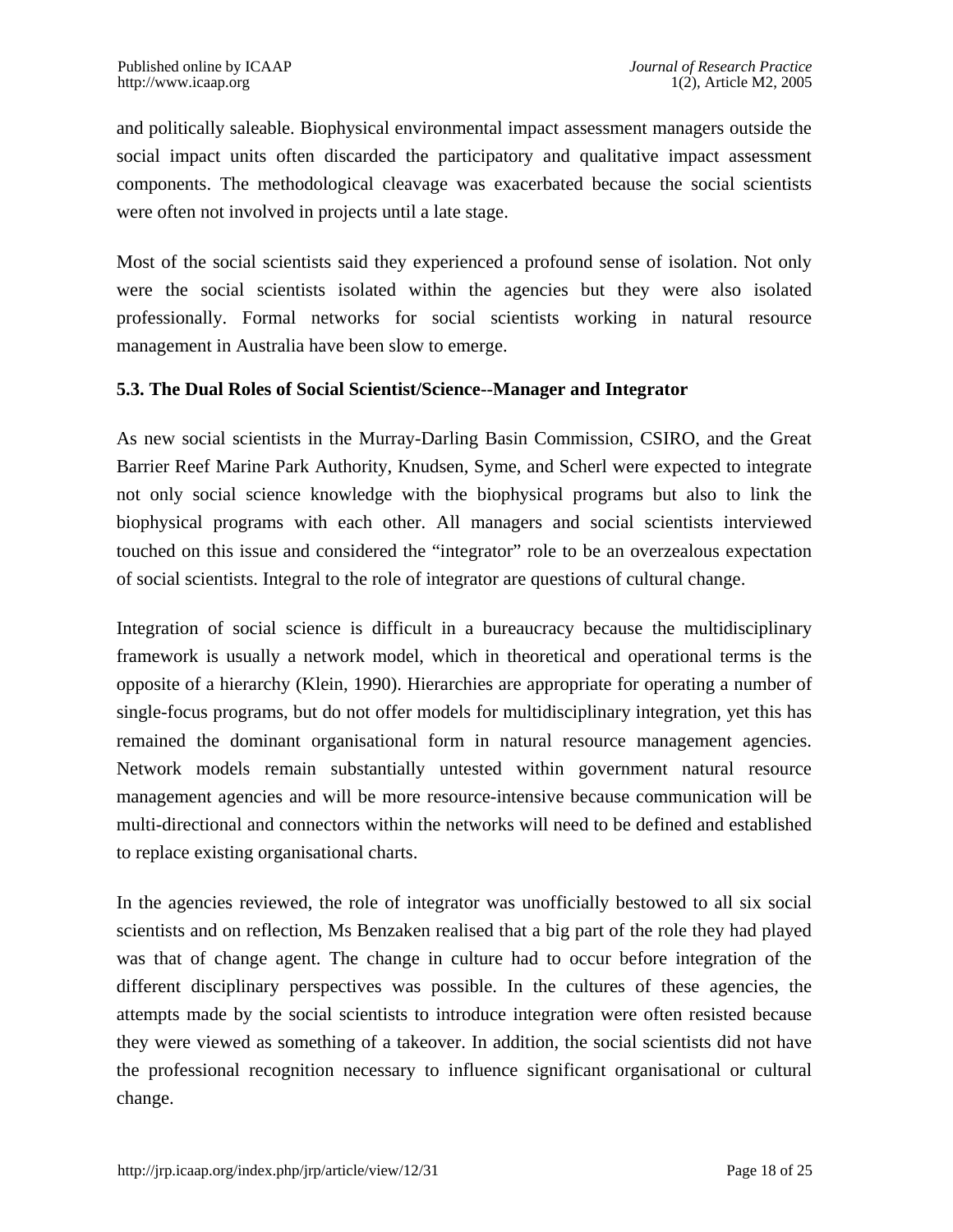and politically saleable. Biophysical environmental impact assessment managers outside the social impact units often discarded the participatory and qualitative impact assessment components. The methodological cleavage was exacerbated because the social scientists were often not involved in projects until a late stage.

Most of the social scientists said they experienced a profound sense of isolation. Not only were the social scientists isolated within the agencies but they were also isolated professionally. Formal networks for social scientists working in natural resource management in Australia have been slow to emerge.

#### **5.3. The Dual Roles of Social Scientist/Science--Manager and Integrator**

As new social scientists in the Murray-Darling Basin Commission, CSIRO, and the Great Barrier Reef Marine Park Authority, Knudsen, Syme, and Scherl were expected to integrate not only social science knowledge with the biophysical programs but also to link the biophysical programs with each other. All managers and social scientists interviewed touched on this issue and considered the "integrator" role to be an overzealous expectation of social scientists. Integral to the role of integrator are questions of cultural change.

Integration of social science is difficult in a bureaucracy because the multidisciplinary framework is usually a network model, which in theoretical and operational terms is the opposite of a hierarchy (Klein, 1990). Hierarchies are appropriate for operating a number of single-focus programs, but do not offer models for multidisciplinary integration, yet this has remained the dominant organisational form in natural resource management agencies. Network models remain substantially untested within government natural resource management agencies and will be more resource-intensive because communication will be multi-directional and connectors within the networks will need to be defined and established to replace existing organisational charts.

In the agencies reviewed, the role of integrator was unofficially bestowed to all six social scientists and on reflection, Ms Benzaken realised that a big part of the role they had played was that of change agent. The change in culture had to occur before integration of the different disciplinary perspectives was possible. In the cultures of these agencies, the attempts made by the social scientists to introduce integration were often resisted because they were viewed as something of a takeover. In addition, the social scientists did not have the professional recognition necessary to influence significant organisational or cultural change.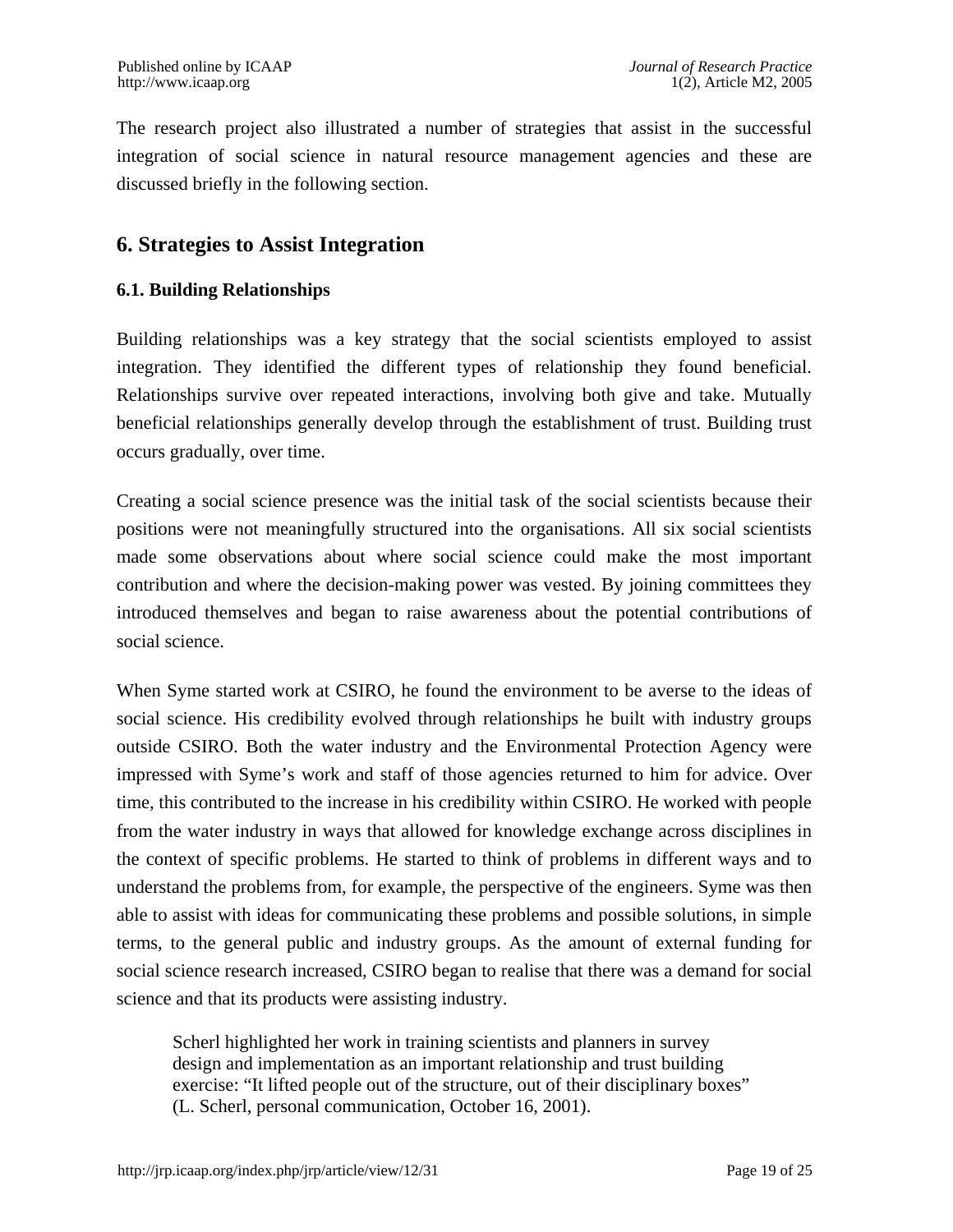The research project also illustrated a number of strategies that assist in the successful integration of social science in natural resource management agencies and these are discussed briefly in the following section.

### **6. Strategies to Assist Integration**

#### **6.1. Building Relationships**

Building relationships was a key strategy that the social scientists employed to assist integration. They identified the different types of relationship they found beneficial. Relationships survive over repeated interactions, involving both give and take. Mutually beneficial relationships generally develop through the establishment of trust. Building trust occurs gradually, over time.

Creating a social science presence was the initial task of the social scientists because their positions were not meaningfully structured into the organisations. All six social scientists made some observations about where social science could make the most important contribution and where the decision-making power was vested. By joining committees they introduced themselves and began to raise awareness about the potential contributions of social science.

When Syme started work at CSIRO, he found the environment to be averse to the ideas of social science. His credibility evolved through relationships he built with industry groups outside CSIRO. Both the water industry and the Environmental Protection Agency were impressed with Syme's work and staff of those agencies returned to him for advice. Over time, this contributed to the increase in his credibility within CSIRO. He worked with people from the water industry in ways that allowed for knowledge exchange across disciplines in the context of specific problems. He started to think of problems in different ways and to understand the problems from, for example, the perspective of the engineers. Syme was then able to assist with ideas for communicating these problems and possible solutions, in simple terms, to the general public and industry groups. As the amount of external funding for social science research increased, CSIRO began to realise that there was a demand for social science and that its products were assisting industry.

Scherl highlighted her work in training scientists and planners in survey design and implementation as an important relationship and trust building exercise: "It lifted people out of the structure, out of their disciplinary boxes" (L. Scherl, personal communication, October 16, 2001).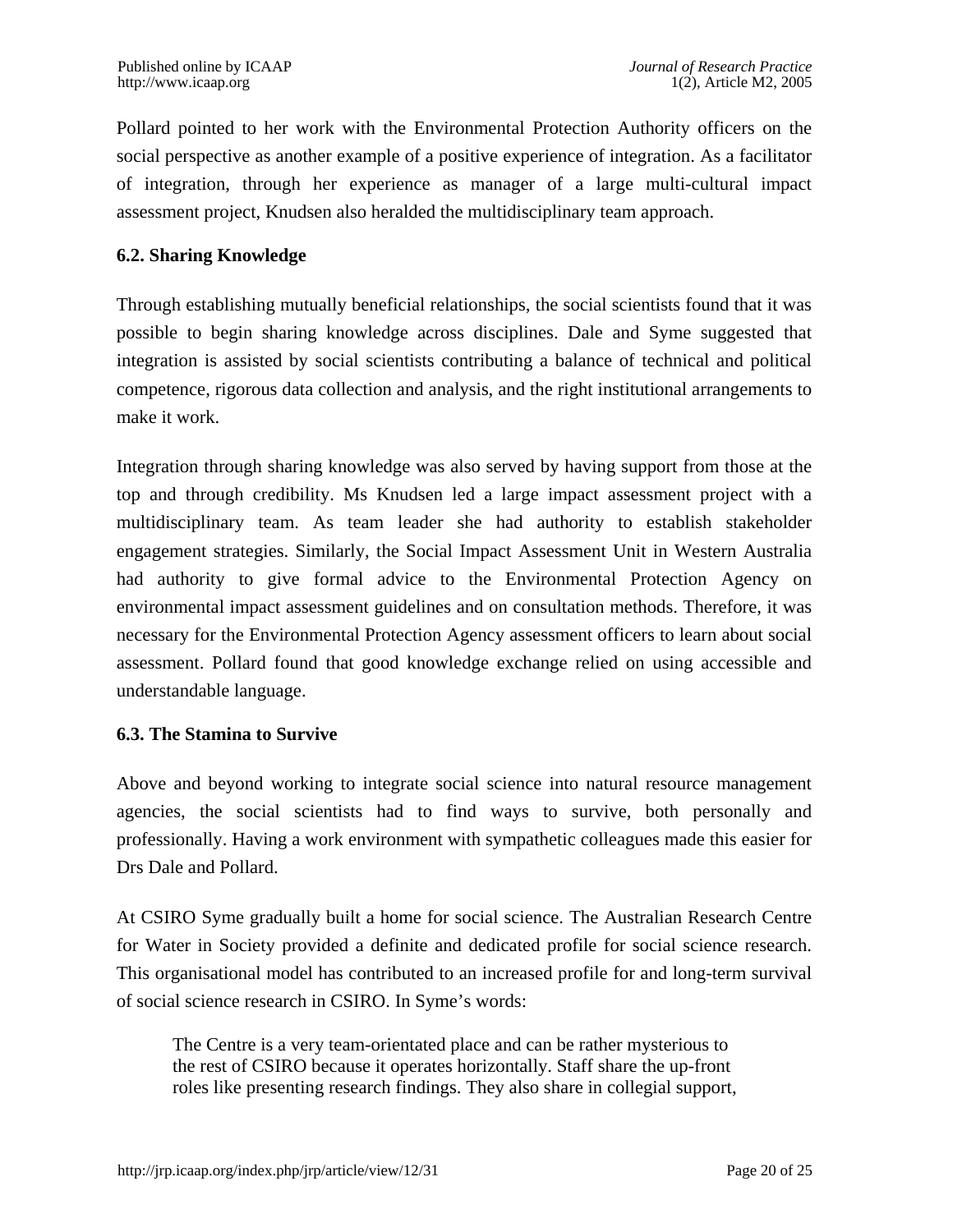Pollard pointed to her work with the Environmental Protection Authority officers on the social perspective as another example of a positive experience of integration. As a facilitator of integration, through her experience as manager of a large multi-cultural impact assessment project, Knudsen also heralded the multidisciplinary team approach.

#### **6.2. Sharing Knowledge**

Through establishing mutually beneficial relationships, the social scientists found that it was possible to begin sharing knowledge across disciplines. Dale and Syme suggested that integration is assisted by social scientists contributing a balance of technical and political competence, rigorous data collection and analysis, and the right institutional arrangements to make it work.

Integration through sharing knowledge was also served by having support from those at the top and through credibility. Ms Knudsen led a large impact assessment project with a multidisciplinary team. As team leader she had authority to establish stakeholder engagement strategies. Similarly, the Social Impact Assessment Unit in Western Australia had authority to give formal advice to the Environmental Protection Agency on environmental impact assessment guidelines and on consultation methods. Therefore, it was necessary for the Environmental Protection Agency assessment officers to learn about social assessment. Pollard found that good knowledge exchange relied on using accessible and understandable language.

#### **6.3. The Stamina to Survive**

Above and beyond working to integrate social science into natural resource management agencies, the social scientists had to find ways to survive, both personally and professionally. Having a work environment with sympathetic colleagues made this easier for Drs Dale and Pollard.

At CSIRO Syme gradually built a home for social science. The Australian Research Centre for Water in Society provided a definite and dedicated profile for social science research. This organisational model has contributed to an increased profile for and long-term survival of social science research in CSIRO. In Syme's words:

The Centre is a very team-orientated place and can be rather mysterious to the rest of CSIRO because it operates horizontally. Staff share the up-front roles like presenting research findings. They also share in collegial support,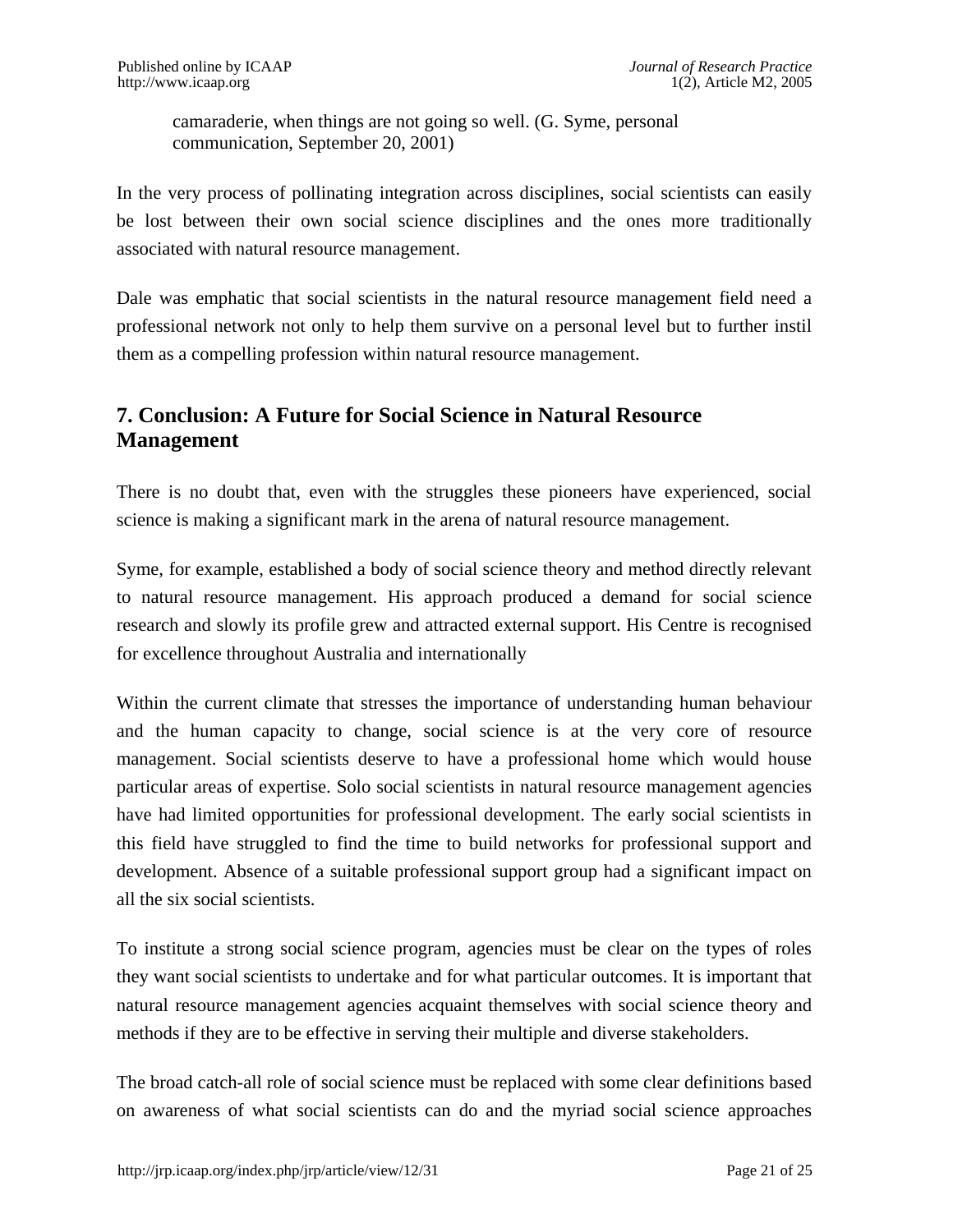camaraderie, when things are not going so well. (G. Syme, personal communication, September 20, 2001)

In the very process of pollinating integration across disciplines, social scientists can easily be lost between their own social science disciplines and the ones more traditionally associated with natural resource management.

Dale was emphatic that social scientists in the natural resource management field need a professional network not only to help them survive on a personal level but to further instil them as a compelling profession within natural resource management.

# **7. Conclusion: A Future for Social Science in Natural Resource Management**

There is no doubt that, even with the struggles these pioneers have experienced, social science is making a significant mark in the arena of natural resource management.

Syme, for example, established a body of social science theory and method directly relevant to natural resource management. His approach produced a demand for social science research and slowly its profile grew and attracted external support. His Centre is recognised for excellence throughout Australia and internationally

Within the current climate that stresses the importance of understanding human behaviour and the human capacity to change, social science is at the very core of resource management. Social scientists deserve to have a professional home which would house particular areas of expertise. Solo social scientists in natural resource management agencies have had limited opportunities for professional development. The early social scientists in this field have struggled to find the time to build networks for professional support and development. Absence of a suitable professional support group had a significant impact on all the six social scientists.

To institute a strong social science program, agencies must be clear on the types of roles they want social scientists to undertake and for what particular outcomes. It is important that natural resource management agencies acquaint themselves with social science theory and methods if they are to be effective in serving their multiple and diverse stakeholders.

The broad catch-all role of social science must be replaced with some clear definitions based on awareness of what social scientists can do and the myriad social science approaches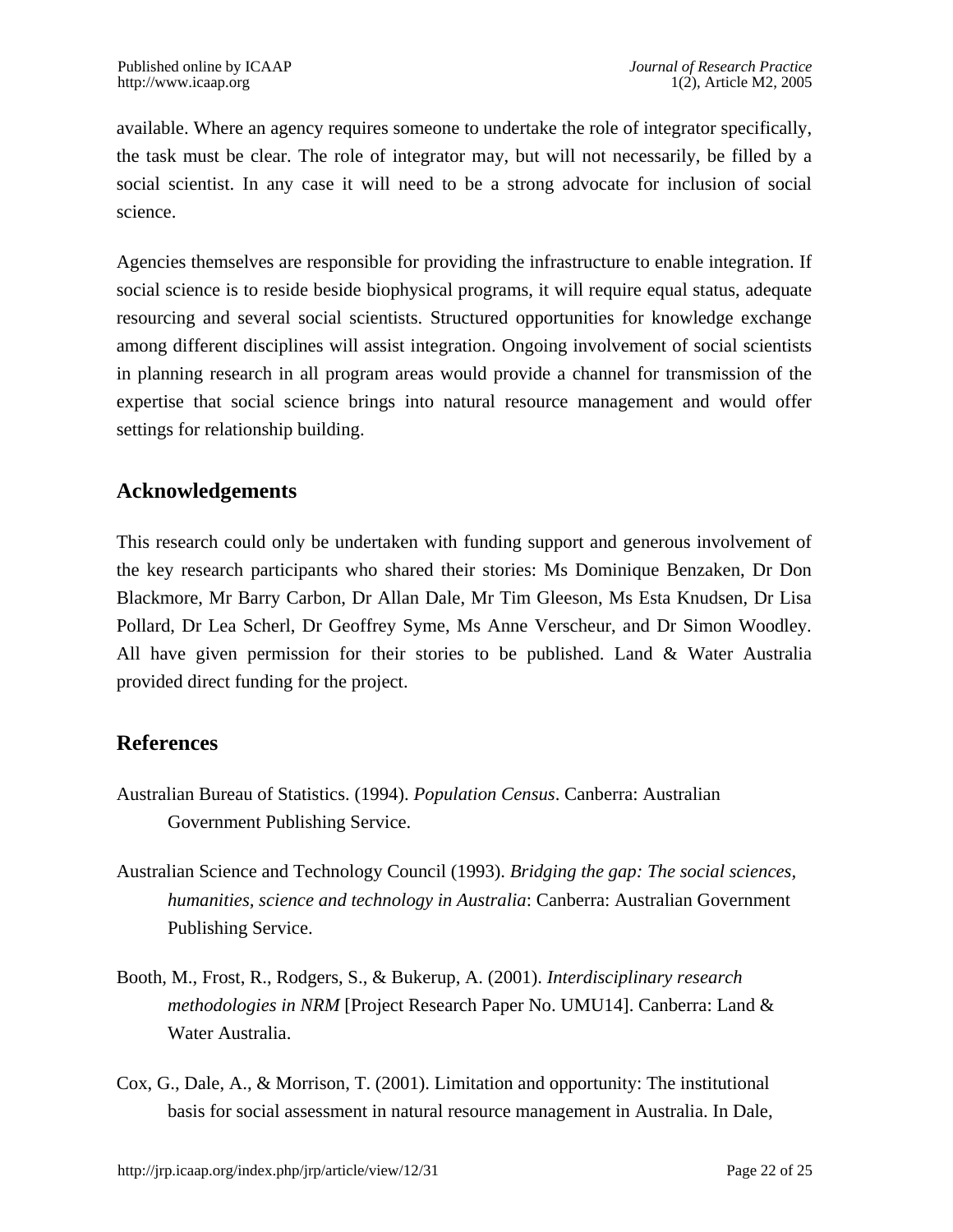available. Where an agency requires someone to undertake the role of integrator specifically, the task must be clear. The role of integrator may, but will not necessarily, be filled by a social scientist. In any case it will need to be a strong advocate for inclusion of social science.

Agencies themselves are responsible for providing the infrastructure to enable integration. If social science is to reside beside biophysical programs, it will require equal status, adequate resourcing and several social scientists. Structured opportunities for knowledge exchange among different disciplines will assist integration. Ongoing involvement of social scientists in planning research in all program areas would provide a channel for transmission of the expertise that social science brings into natural resource management and would offer settings for relationship building.

# **Acknowledgements**

This research could only be undertaken with funding support and generous involvement of the key research participants who shared their stories: Ms Dominique Benzaken, Dr Don Blackmore, Mr Barry Carbon, Dr Allan Dale, Mr Tim Gleeson, Ms Esta Knudsen, Dr Lisa Pollard, Dr Lea Scherl, Dr Geoffrey Syme, Ms Anne Verscheur, and Dr Simon Woodley. All have given permission for their stories to be published. Land & Water Australia provided direct funding for the project.

# **References**

- Australian Bureau of Statistics. (1994). *Population Census*. Canberra: Australian Government Publishing Service.
- Australian Science and Technology Council (1993). *Bridging the gap: The social sciences, humanities, science and technology in Australia*: Canberra: Australian Government Publishing Service.
- Booth, M., Frost, R., Rodgers, S., & Bukerup, A. (2001). *Interdisciplinary research methodologies in NRM* [Project Research Paper No. UMU14]. Canberra: Land & Water Australia.
- Cox, G., Dale, A., & Morrison, T. (2001). Limitation and opportunity: The institutional basis for social assessment in natural resource management in Australia. In Dale,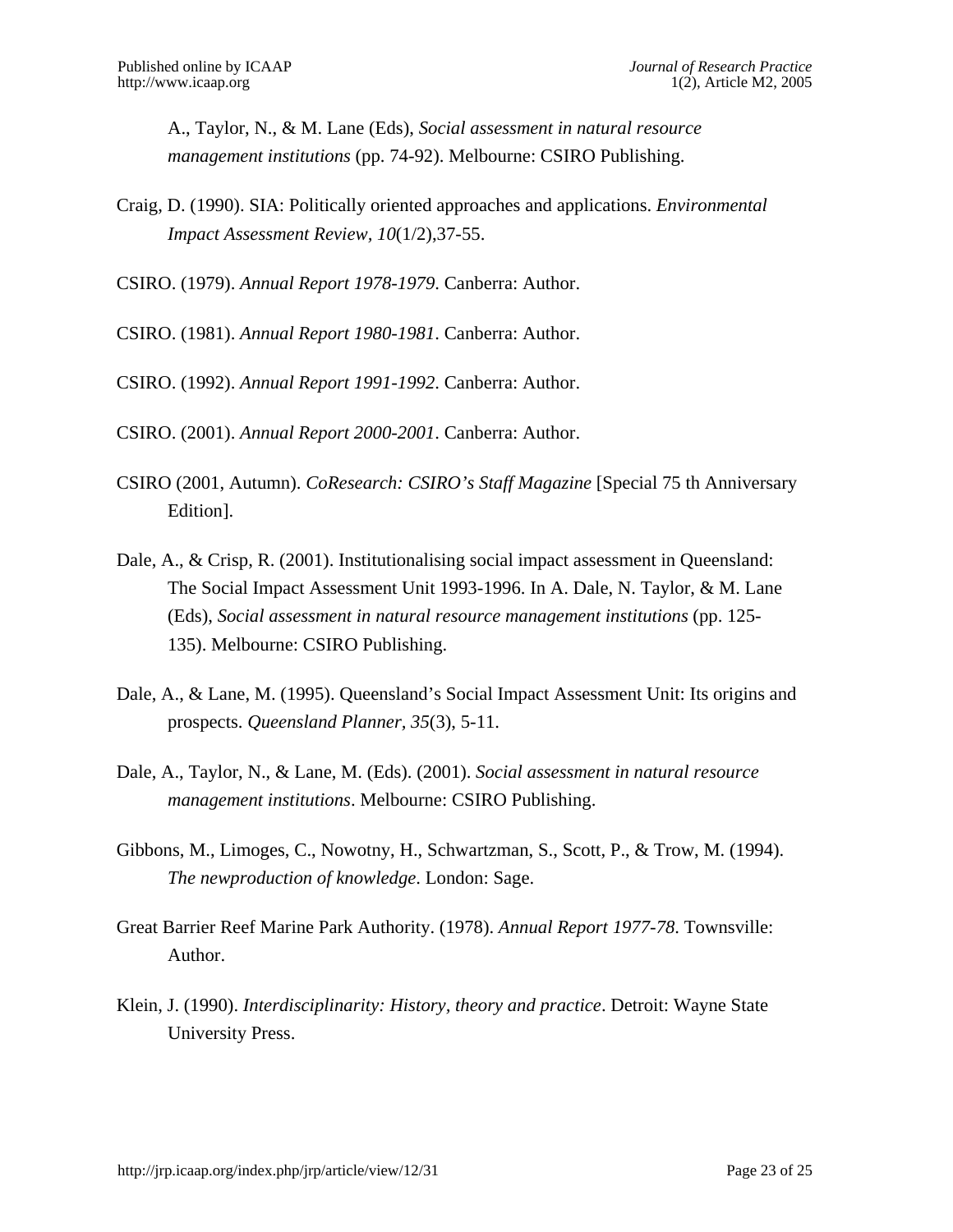A., Taylor, N., & M. Lane (Eds), *Social assessment in natural resource management institutions* (pp. 74-92). Melbourne: CSIRO Publishing.

Craig, D. (1990). SIA: Politically oriented approaches and applications. *Environmental Impact Assessment Review, 10*(1/2),37-55.

CSIRO. (1979). *Annual Report 1978-1979*. Canberra: Author.

CSIRO. (1981). *Annual Report 1980-1981*. Canberra: Author.

CSIRO. (1992). *Annual Report 1991-1992*. Canberra: Author.

CSIRO. (2001). *Annual Report 2000-2001*. Canberra: Author.

- CSIRO (2001, Autumn). *CoResearch: CSIRO's Staff Magazine* [Special 75 th Anniversary Edition].
- Dale, A., & Crisp, R. (2001). Institutionalising social impact assessment in Queensland: The Social Impact Assessment Unit 1993-1996. In A. Dale, N. Taylor, & M. Lane (Eds), *Social assessment in natural resource management institutions* (pp. 125- 135). Melbourne: CSIRO Publishing.
- Dale, A., & Lane, M. (1995). Queensland's Social Impact Assessment Unit: Its origins and prospects. *Queensland Planner, 35*(3), 5-11.
- Dale, A., Taylor, N., & Lane, M. (Eds). (2001). *Social assessment in natural resource management institutions*. Melbourne: CSIRO Publishing.
- Gibbons, M., Limoges, C., Nowotny, H., Schwartzman, S., Scott, P., & Trow, M. (1994). *The newproduction of knowledge*. London: Sage.
- Great Barrier Reef Marine Park Authority. (1978). *Annual Report 1977-78*. Townsville: Author.
- Klein, J. (1990). *Interdisciplinarity: History, theory and practice*. Detroit: Wayne State University Press.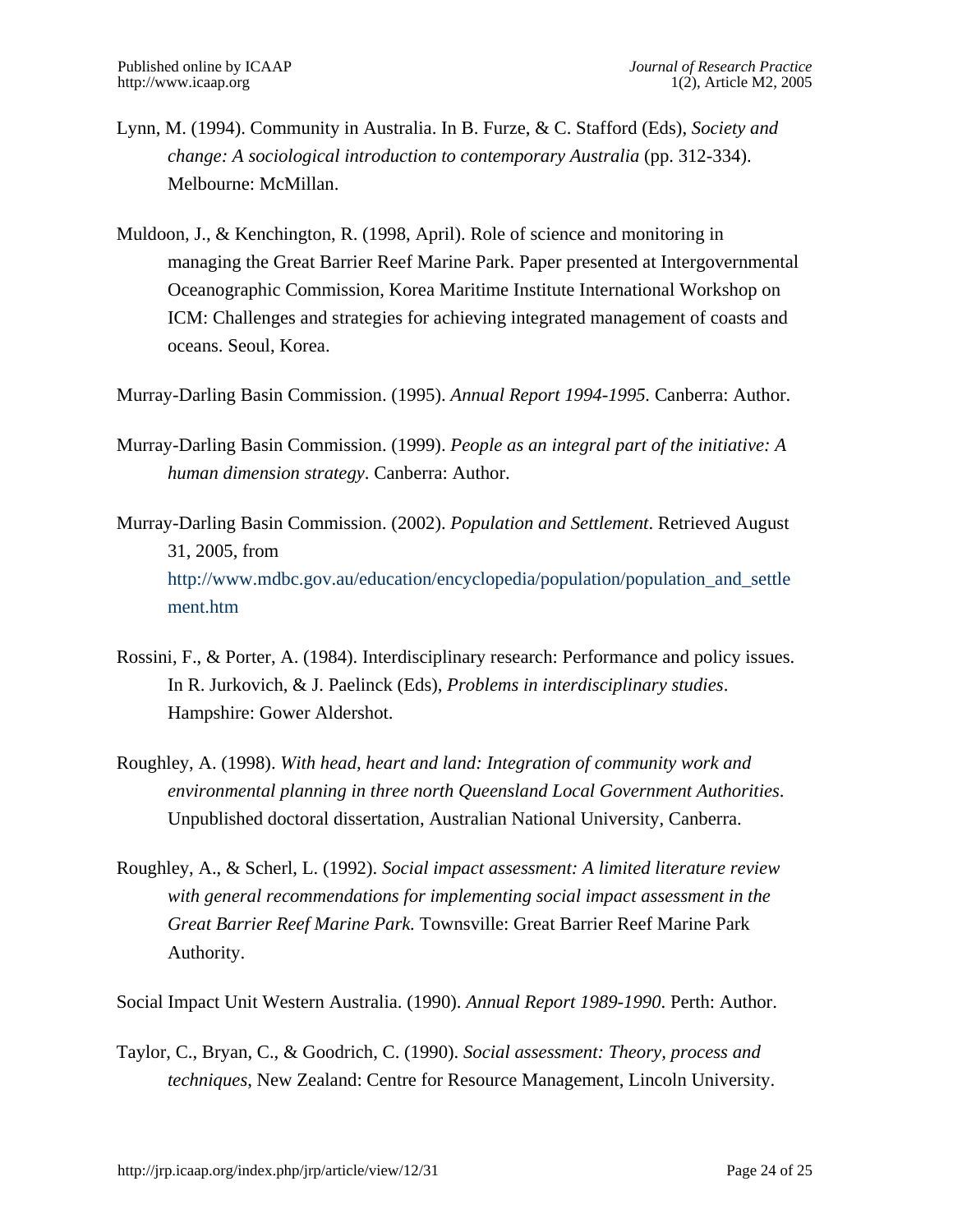- Lynn, M. (1994). Community in Australia. In B. Furze, & C. Stafford (Eds), *Society and change: A sociological introduction to contemporary Australia* (pp. 312-334). Melbourne: McMillan.
- Muldoon, J., & Kenchington, R. (1998, April). Role of science and monitoring in managing the Great Barrier Reef Marine Park. Paper presented at Intergovernmental Oceanographic Commission, Korea Maritime Institute International Workshop on ICM: Challenges and strategies for achieving integrated management of coasts and oceans. Seoul, Korea.
- Murray-Darling Basin Commission. (1995). *Annual Report 1994-1995.* Canberra: Author.
- Murray-Darling Basin Commission. (1999). *People as an integral part of the initiative: A human dimension strategy*. Canberra: Author.
- Murray-Darling Basin Commission. (2002). *Population and Settlement*. Retrieved August 31, 2005, from [http://www.mdbc.gov.au/education/encyclopedia/population/population\\_and\\_settle](http://www.mdbc.gov.au/education/encyclopedia/population/population_and_settlement.htm)  [ment.htm](http://www.mdbc.gov.au/education/encyclopedia/population/population_and_settlement.htm)
- Rossini, F., & Porter, A. (1984). Interdisciplinary research: Performance and policy issues. In R. Jurkovich, & J. Paelinck (Eds), *Problems in interdisciplinary studies*. Hampshire: Gower Aldershot.
- Roughley, A. (1998). *With head, heart and land: Integration of community work and environmental planning in three north Queensland Local Government Authorities*. Unpublished doctoral dissertation, Australian National University, Canberra.
- Roughley, A., & Scherl, L. (1992). *Social impact assessment: A limited literature review with general recommendations for implementing social impact assessment in the Great Barrier Reef Marine Park.* Townsville: Great Barrier Reef Marine Park Authority.

Social Impact Unit Western Australia. (1990). *Annual Report 1989-1990*. Perth: Author.

Taylor, C., Bryan, C., & Goodrich, C. (1990). *Social assessment: Theory, process and techniques*, New Zealand: Centre for Resource Management, Lincoln University.